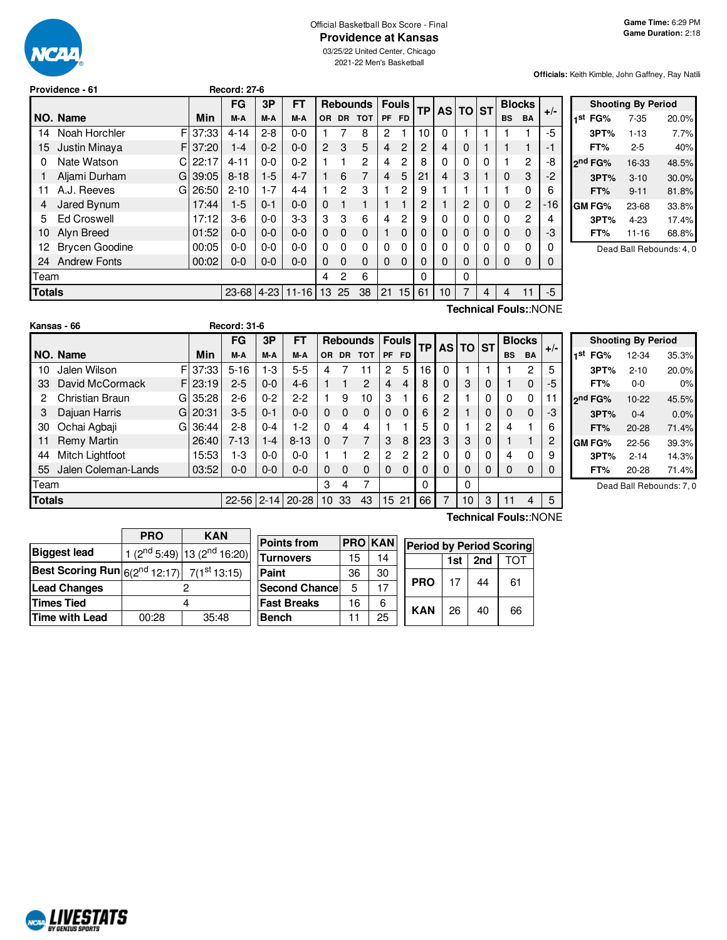

#### Official Basketball Box Score - Final **Providence at Kansas**

2021-22 Men's Basketball

**Officials:** Keith Kimble, John Gaffney, Ray Natili

|        | Providence - 61       |           | <b>Record: 27-6</b> |          |           |                |                |                 |                |              |           |          |                 |   |           |                |       |                |
|--------|-----------------------|-----------|---------------------|----------|-----------|----------------|----------------|-----------------|----------------|--------------|-----------|----------|-----------------|---|-----------|----------------|-------|----------------|
|        |                       |           | <b>FG</b>           | 3P       | FT        |                |                | <b>Rebounds</b> |                | <b>Fouls</b> | <b>TP</b> |          | <b>AS TO ST</b> |   |           | <b>Blocks</b>  | $+/-$ |                |
|        | NO. Name              | Min       | M-A                 | M-A      | M-A       | OR.            | <b>DR</b>      | <b>TOT</b>      | PF             | <b>FD</b>    |           |          |                 |   | <b>BS</b> | <b>BA</b>      |       | 11             |
| 14     | F<br>Noah Horchler    | 37:33     | $4 - 14$            | $2 - 8$  | $0 - 0$   |                |                | 8               | $\overline{2}$ |              | 10        | $\Omega$ |                 |   |           |                | -5    |                |
| 15     | Justin Minaya         | FI37:20   | $1 - 4$             | $0 - 2$  | $0 - 0$   | $\overline{2}$ | 3              | 5               | 4              | 2            | 2         | 4        | 0               |   |           |                | -1    |                |
| 0      | Nate Watson<br>C.     | 22:17     | $4 - 11$            | $0 - 0$  | $0 - 2$   | 1              |                | 2               | 4              | 2            | 8         | 0        | 0               | 0 |           | 2              | -8    | 2 <sup>1</sup> |
|        | Aljami Durham         | $G$ 39:05 | $8 - 18$            | $1-5$    | $4 - 7$   | 1              | 6              | 7               | 4              | 5            | 21        | 4        | 3               |   | $\Omega$  | 3              | $-2$  |                |
| 11     | A.J. Reeves           | $G$ 26:50 | $2 - 10$            | 1-7      | $4 - 4$   | 1              | $\mathcal{P}$  | 3               |                | 2            | 9         |          |                 |   |           | $\Omega$       | 6     |                |
| 4      | Jared Bynum           | 17:44     | $1 - 5$             | $0 - 1$  | $0 - 0$   | $\mathbf 0$    |                |                 |                |              | 2         |          | 2               | 0 | $\Omega$  | $\overline{c}$ | -16   | G              |
| 5      | <b>Ed Croswell</b>    | 17:12     | $3-6$               | $0 - 0$  | $3-3$     | 3              | 3              | 6               | 4              | 2            | 9         | 0        | 0               | 0 | $\Omega$  | 2              | 4     |                |
| 10     | Alyn Breed            | 01:52     | $0 - 0$             | $0 - 0$  | $0 - 0$   | $\mathbf{0}$   | $\Omega$       | 0               |                | $\Omega$     | 0         | 0        | 0               | 0 | 0         | $\mathbf 0$    | -3    |                |
| 12.    | <b>Brycen Goodine</b> | 00:05     | $0-0$               | $0 - 0$  | $0 - 0$   | 0              | $\Omega$       | 0               | $\Omega$       | $\Omega$     | 0         | $\Omega$ | 0               | 0 | $\Omega$  | 0              | 0     |                |
| 24     | <b>Andrew Fonts</b>   | 00:02     | $0 - 0$             | $0-0$    | $0 - 0$   | 0              | $\Omega$       | 0               | $\Omega$       | $\Omega$     | 0         | $\Omega$ | 0               | 0 | $\Omega$  | 0              | 0     |                |
| Team   |                       |           |                     |          |           | 4              | $\overline{c}$ | 6               |                |              | 0         |          | 0               |   |           |                |       |                |
| Totals |                       |           | 23-68               | $4 - 23$ | $11 - 16$ | 13             | 25             | 38              | 21             | 15           | 61        | 10       | 7               | 4 | 4         | 11             | -5    |                |
|        | Technical Fouls::NONE |           |                     |          |           |                |                |                 |                |              |           |          |                 |   |           |                |       |                |

|                     | <b>Shooting By Period</b> |       |
|---------------------|---------------------------|-------|
| FG%<br>1st          | 7-35                      | 20.0% |
| 3PT%                | $1 - 13$                  | 7.7%  |
| FT%                 | $2 - 5$                   | 40%   |
| 2 <sup>nd</sup> FG% | 16-33                     | 48.5% |
| 3PT%                | $3 - 10$                  | 30.0% |
| FT%                 | $9 - 11$                  | 81.8% |
| <b>GM FG%</b>       | 23-68                     | 33.8% |
| 3PT%                | $4 - 23$                  | 17.4% |
| FT%                 | 11-16                     | 68.8% |
|                     |                           |       |

Dead Ball Rebounds: 4, 0

|               | Kansas - 66            |   |          | <b>Record: 31-6</b> |          |          |                                 |           |            |          |          |    |          |    |               |           |           |       |
|---------------|------------------------|---|----------|---------------------|----------|----------|---------------------------------|-----------|------------|----------|----------|----|----------|----|---------------|-----------|-----------|-------|
|               |                        |   |          | FG                  | 3P       | FT       | <b>Fouls</b><br><b>Rebounds</b> |           |            |          | ТP       |    | AS TO ST |    | <b>Blocks</b> |           |           |       |
|               | NO. Name               |   | Min      | M-A                 | M-A      | M-A      | <b>OR</b>                       | <b>DR</b> | <b>TOT</b> | PF       | FD.      |    |          |    |               | <b>BS</b> | <b>BA</b> | $+/-$ |
| 10            | Jalen Wilson           |   | FI37:33  | $5 - 16$            | $1-3$    | 5-5      | 4                               |           |            | 2        | 5        | 16 | 0        |    |               |           | 2         | 5     |
| 33            | David McCormack        |   | F123:19  | $2 - 5$             | $0 - 0$  | $4-6$    |                                 |           | 2          | 4        | 4        | 8  | 0        | 3  | 0             |           | 0         | -5    |
| 2             | <b>Christian Braun</b> | G | 35:28    | $2 - 6$             | $0 - 2$  | $2-2$    |                                 | 9         | 10         | 3        |          | 6  | 2        |    | 0             | 0         | 0         | 11    |
| 3             | Dajuan Harris          |   | GI 20:31 | $3-5$               | $0 - 1$  | $0 - 0$  | $\Omega$                        | $\Omega$  | $\Omega$   | $\Omega$ | $\Omega$ | 6  | 2        |    | 0             | 0         | 0         | -3    |
| 30            | Ochai Agbaji           | G | 36:44    | $2 - 8$             | $0 - 4$  | $1-2$    | $\Omega$                        | 4         | 4          |          |          | 5  | 0        |    | 2             | 4         | ۴         | 6     |
| 11            | Remy Martin            |   | 26:40    | $7 - 13$            | 1-4      | $8 - 13$ | $\Omega$                        | 7         | 7          | 3        | 8        | 23 | 3        | 3  | 0             |           |           | 2     |
| 44            | Mitch Lightfoot        |   | 15:53    | 1-3                 | $0-0$    | $0 - 0$  |                                 |           | 2          | 2        | 2        | 2  | 0        | 0  | 0             | 4         | 0         | 9     |
| 55            | Jalen Coleman-Lands    |   | 03:52    | $0 - 0$             | $0 - 0$  | $0 - 0$  | $\Omega$                        | $\Omega$  | 0          | $\Omega$ | 0        | 0  | 0        | 0  | 0             | 0         | 0         |       |
| Team          |                        |   |          |                     |          |          | 3                               | 4         | 7          |          |          | 0  |          | 0  |               |           |           |       |
| <b>Totals</b> |                        |   |          | $22 - 56$           | $2 - 14$ | 20-28    | 10                              | 33        | 43         | 15       | 21       | 66 | 7        | 10 | 3             | 11        | 4         | 5     |
|               | Technical Fouls::NONE  |   |          |                     |          |          |                                 |           |            |          |          |    |          |    |               |           |           |       |

**2 nd FG%** 10-22 45.5% **3PT%** 0-4 0.0% **FT%** 20-28 71.4% **GM FG%** 22-56 39.3% **3PT%** 2-14 14.3% **FT%** 20-28 71.4%

**Shooting By Period 1 st FG%** 12-34 35.3% **3PT%** 2-10 20.0% **FT%** 0-0 0%

Dead Ball Rebounds: 7, 0

|                                                                    | <b>PRO</b>     | <b>KAN</b>                                          |                       |    |               |                                 |     |     |     |  |  |  |
|--------------------------------------------------------------------|----------------|-----------------------------------------------------|-----------------------|----|---------------|---------------------------------|-----|-----|-----|--|--|--|
|                                                                    |                |                                                     | <b>Points from</b>    |    | <b>PROKAN</b> | <b>Period by Period Scoring</b> |     |     |     |  |  |  |
| <b>Biggest lead</b>                                                |                | 1 (2 <sup>nd</sup> 5:49) 13 (2 <sup>nd</sup> 16:20) | <b>Turnovers</b>      | 15 | 14            |                                 | 1st | 2nd | тот |  |  |  |
| <b>Best Scoring Run</b> $6(2^{nd} 12:17)$ 7(1 <sup>st</sup> 13:15) |                |                                                     | Paint                 | 36 | 30            |                                 |     |     |     |  |  |  |
| Lead Changes                                                       |                |                                                     | <b>Second Chancel</b> | 5  | 17            | <b>PRO</b>                      | 17  | 44  | 61  |  |  |  |
| <b>Times Tied</b>                                                  |                |                                                     | <b>Fast Breaks</b>    | 16 | 6             | <b>KAN</b>                      | 26  | 40  |     |  |  |  |
| Time with Lead                                                     | 35:48<br>00:28 |                                                     | <b>Bench</b>          |    | 25            |                                 |     |     | 66  |  |  |  |

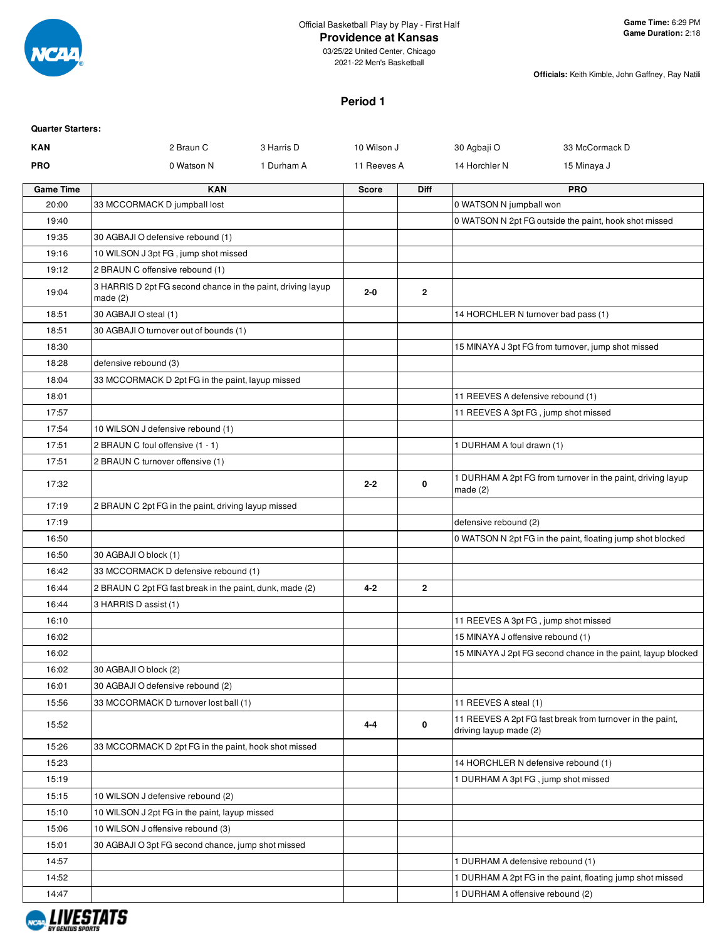

03/25/22 United Center, Chicago 2021-22 Men's Basketball

**Officials:** Keith Kimble, John Gaffney, Ray Natili

## **Period 1**

| <b>Quarter Starters:</b> |                                                                        |            |              |              |                                      |                                                              |
|--------------------------|------------------------------------------------------------------------|------------|--------------|--------------|--------------------------------------|--------------------------------------------------------------|
| <b>KAN</b>               | 2 Braun C                                                              | 3 Harris D | 10 Wilson J  |              | 30 Agbaji O                          | 33 McCormack D                                               |
| <b>PRO</b>               | 0 Watson N                                                             | 1 Durham A | 11 Reeves A  |              | 14 Horchler N                        | 15 Minaya J                                                  |
| <b>Game Time</b>         | <b>KAN</b>                                                             |            | <b>Score</b> | <b>Diff</b>  |                                      | <b>PRO</b>                                                   |
| 20:00                    | 33 MCCORMACK D jumpball lost                                           |            |              |              | 0 WATSON N jumpball won              |                                                              |
| 19:40                    |                                                                        |            |              |              |                                      | 0 WATSON N 2pt FG outside the paint, hook shot missed        |
| 19:35                    | 30 AGBAJI O defensive rebound (1)                                      |            |              |              |                                      |                                                              |
| 19:16                    | 10 WILSON J 3pt FG, jump shot missed                                   |            |              |              |                                      |                                                              |
| 19:12                    | 2 BRAUN C offensive rebound (1)                                        |            |              |              |                                      |                                                              |
| 19:04                    | 3 HARRIS D 2pt FG second chance in the paint, driving layup<br>made(2) |            | $2 - 0$      | $\mathbf{2}$ |                                      |                                                              |
| 18:51                    | 30 AGBAJI O steal (1)                                                  |            |              |              | 14 HORCHLER N turnover bad pass (1)  |                                                              |
| 18:51                    | 30 AGBAJI O turnover out of bounds (1)                                 |            |              |              |                                      |                                                              |
| 18:30                    |                                                                        |            |              |              |                                      | 15 MINAYA J 3pt FG from turnover, jump shot missed           |
| 18:28                    | defensive rebound (3)                                                  |            |              |              |                                      |                                                              |
| 18:04                    | 33 MCCORMACK D 2pt FG in the paint, layup missed                       |            |              |              |                                      |                                                              |
| 18:01                    |                                                                        |            |              |              | 11 REEVES A defensive rebound (1)    |                                                              |
| 17:57                    |                                                                        |            |              |              | 11 REEVES A 3pt FG, jump shot missed |                                                              |
| 17:54                    | 10 WILSON J defensive rebound (1)                                      |            |              |              |                                      |                                                              |
| 17:51                    | 2 BRAUN C foul offensive (1 - 1)                                       |            |              |              | 1 DURHAM A foul drawn (1)            |                                                              |
| 17:51                    | 2 BRAUN C turnover offensive (1)                                       |            |              |              |                                      |                                                              |
| 17:32                    |                                                                        |            | $2 - 2$      | 0            | made $(2)$                           | 1 DURHAM A 2pt FG from turnover in the paint, driving layup  |
| 17:19                    | 2 BRAUN C 2pt FG in the paint, driving layup missed                    |            |              |              |                                      |                                                              |
| 17:19                    |                                                                        |            |              |              | defensive rebound (2)                |                                                              |
| 16:50                    |                                                                        |            |              |              |                                      | 0 WATSON N 2pt FG in the paint, floating jump shot blocked   |
| 16:50                    | 30 AGBAJI O block (1)                                                  |            |              |              |                                      |                                                              |
| 16:42                    | 33 MCCORMACK D defensive rebound (1)                                   |            |              |              |                                      |                                                              |
| 16:44                    | 2 BRAUN C 2pt FG fast break in the paint, dunk, made (2)               |            | 4-2          | $\mathbf{2}$ |                                      |                                                              |
| 16:44                    | 3 HARRIS D assist (1)                                                  |            |              |              |                                      |                                                              |
| 16:10                    |                                                                        |            |              |              | 11 REEVES A 3pt FG, jump shot missed |                                                              |
| 16:02                    |                                                                        |            |              |              | 15 MINAYA J offensive rebound (1)    |                                                              |
| 16:02                    |                                                                        |            |              |              |                                      | 15 MINAYA J 2pt FG second chance in the paint, layup blocked |
| 16:02                    | 30 AGBAJI O block (2)                                                  |            |              |              |                                      |                                                              |
| 16:01                    | 30 AGBAJI O defensive rebound (2)                                      |            |              |              |                                      |                                                              |
| 15:56                    | 33 MCCORMACK D turnover lost ball (1)                                  |            |              |              | 11 REEVES A steal (1)                |                                                              |
| 15:52                    |                                                                        |            | 4-4          | 0            | driving layup made (2)               | 11 REEVES A 2pt FG fast break from turnover in the paint,    |
| 15:26                    | 33 MCCORMACK D 2pt FG in the paint, hook shot missed                   |            |              |              |                                      |                                                              |
| 15:23                    |                                                                        |            |              |              | 14 HORCHLER N defensive rebound (1)  |                                                              |
| 15:19                    |                                                                        |            |              |              | 1 DURHAM A 3pt FG, jump shot missed  |                                                              |
| 15:15                    | 10 WILSON J defensive rebound (2)                                      |            |              |              |                                      |                                                              |
| 15:10                    | 10 WILSON J 2pt FG in the paint, layup missed                          |            |              |              |                                      |                                                              |
| 15:06                    | 10 WILSON J offensive rebound (3)                                      |            |              |              |                                      |                                                              |
| 15:01                    | 30 AGBAJI O 3pt FG second chance, jump shot missed                     |            |              |              |                                      |                                                              |
| 14:57                    |                                                                        |            |              |              | 1 DURHAM A defensive rebound (1)     |                                                              |
| 14:52                    |                                                                        |            |              |              |                                      | 1 DURHAM A 2pt FG in the paint, floating jump shot missed    |
| 14:47                    |                                                                        |            |              |              | 1 DURHAM A offensive rebound (2)     |                                                              |

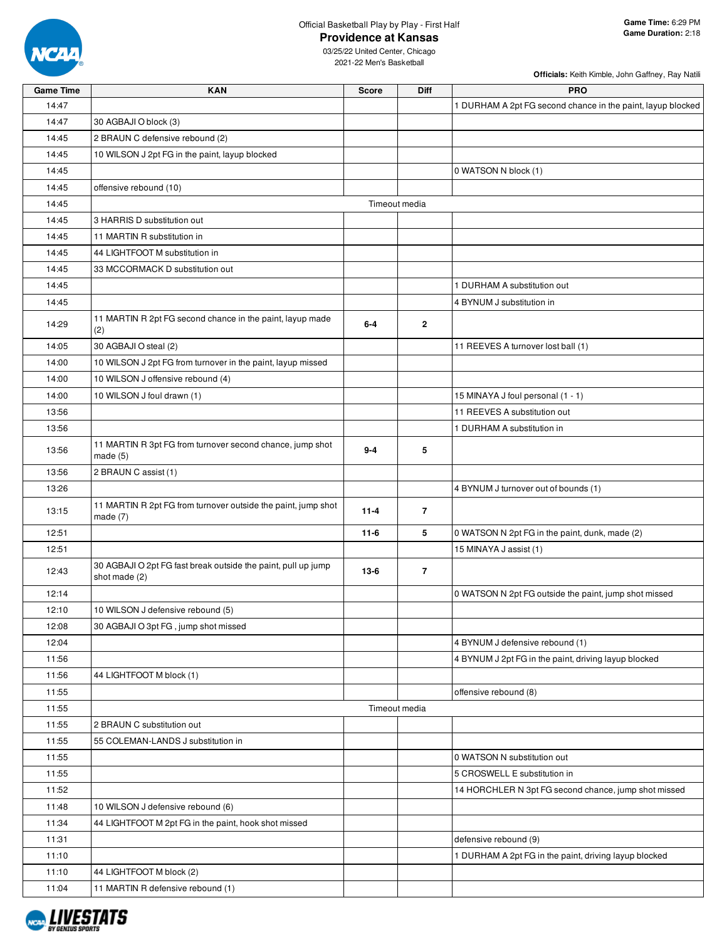

|                  |                                                                                |               |                | Officials: Keith Kimble, John Gaffney, Ray Natili           |
|------------------|--------------------------------------------------------------------------------|---------------|----------------|-------------------------------------------------------------|
| <b>Game Time</b> | <b>KAN</b>                                                                     | <b>Score</b>  | Diff           | <b>PRO</b>                                                  |
| 14:47            |                                                                                |               |                | 1 DURHAM A 2pt FG second chance in the paint, layup blocked |
| 14:47            | 30 AGBAJI O block (3)                                                          |               |                |                                                             |
| 14:45            | 2 BRAUN C defensive rebound (2)                                                |               |                |                                                             |
| 14:45            | 10 WILSON J 2pt FG in the paint, layup blocked                                 |               |                |                                                             |
| 14:45            |                                                                                |               |                | 0 WATSON N block (1)                                        |
| 14:45            | offensive rebound (10)                                                         |               |                |                                                             |
| 14:45            |                                                                                | Timeout media |                |                                                             |
| 14:45            | 3 HARRIS D substitution out                                                    |               |                |                                                             |
| 14:45            | 11 MARTIN R substitution in                                                    |               |                |                                                             |
| 14:45            | 44 LIGHTFOOT M substitution in                                                 |               |                |                                                             |
| 14:45            | 33 MCCORMACK D substitution out                                                |               |                |                                                             |
| 14:45            |                                                                                |               |                | 1 DURHAM A substitution out                                 |
| 14:45            |                                                                                |               |                | 4 BYNUM J substitution in                                   |
| 14:29            | 11 MARTIN R 2pt FG second chance in the paint, layup made<br>(2)               | $6-4$         | $\overline{2}$ |                                                             |
| 14:05            | 30 AGBAJI O steal (2)                                                          |               |                | 11 REEVES A turnover lost ball (1)                          |
| 14:00            | 10 WILSON J 2pt FG from turnover in the paint, layup missed                    |               |                |                                                             |
| 14:00            | 10 WILSON J offensive rebound (4)                                              |               |                |                                                             |
| 14:00            | 10 WILSON J foul drawn (1)                                                     |               |                | 15 MINAYA J foul personal (1 - 1)                           |
| 13:56            |                                                                                |               |                | 11 REEVES A substitution out                                |
| 13:56            |                                                                                |               |                | 1 DURHAM A substitution in                                  |
| 13:56            | 11 MARTIN R 3pt FG from turnover second chance, jump shot<br>made(5)           | $9 - 4$       | 5              |                                                             |
| 13:56            | 2 BRAUN C assist (1)                                                           |               |                |                                                             |
| 13:26            |                                                                                |               |                | 4 BYNUM J turnover out of bounds (1)                        |
| 13:15            | 11 MARTIN R 2pt FG from turnover outside the paint, jump shot<br>made $(7)$    | $11 - 4$      | $\overline{7}$ |                                                             |
| 12:51            |                                                                                | $11-6$        | 5              | 0 WATSON N 2pt FG in the paint, dunk, made (2)              |
| 12:51            |                                                                                |               |                | 15 MINAYA J assist (1)                                      |
| 12:43            | 30 AGBAJI O 2pt FG fast break outside the paint, pull up jump<br>shot made (2) | $13-6$        | $\overline{7}$ |                                                             |
| 12:14            |                                                                                |               |                | 0 WATSON N 2pt FG outside the paint, jump shot missed       |
| 12:10            | 10 WILSON J defensive rebound (5)                                              |               |                |                                                             |
| 12:08            | 30 AGBAJI O 3pt FG, jump shot missed                                           |               |                |                                                             |
| 12:04            |                                                                                |               |                | 4 BYNUM J defensive rebound (1)                             |
| 11:56            |                                                                                |               |                | 4 BYNUM J 2pt FG in the paint, driving layup blocked        |
| 11:56            | 44 LIGHTFOOT M block (1)                                                       |               |                |                                                             |
| 11:55            |                                                                                |               |                | offensive rebound (8)                                       |
| 11:55            |                                                                                |               | Timeout media  |                                                             |
| 11:55            | 2 BRAUN C substitution out                                                     |               |                |                                                             |
| 11:55            | 55 COLEMAN-LANDS J substitution in                                             |               |                |                                                             |
| 11:55            |                                                                                |               |                | 0 WATSON N substitution out                                 |
| 11:55            |                                                                                |               |                | 5 CROSWELL E substitution in                                |
| 11:52            |                                                                                |               |                | 14 HORCHLER N 3pt FG second chance, jump shot missed        |
| 11:48            | 10 WILSON J defensive rebound (6)                                              |               |                |                                                             |
| 11:34            | 44 LIGHTFOOT M 2pt FG in the paint, hook shot missed                           |               |                |                                                             |
| 11:31            |                                                                                |               |                | defensive rebound (9)                                       |
| 11:10            |                                                                                |               |                | 1 DURHAM A 2pt FG in the paint, driving layup blocked       |
| 11:10            | 44 LIGHTFOOT M block (2)                                                       |               |                |                                                             |
| 11:04            | 11 MARTIN R defensive rebound (1)                                              |               |                |                                                             |

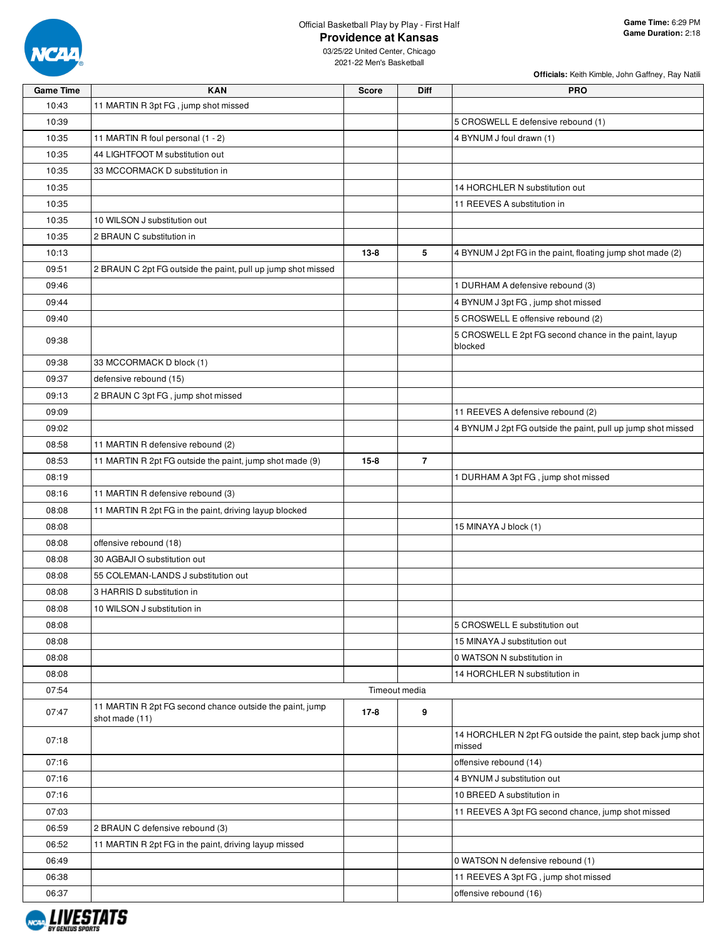

|                  |                                                                            |              |                | Officials: Keith Kimble, John Gaffney, Ray Natili                     |
|------------------|----------------------------------------------------------------------------|--------------|----------------|-----------------------------------------------------------------------|
| <b>Game Time</b> | <b>KAN</b>                                                                 | <b>Score</b> | Diff           | <b>PRO</b>                                                            |
| 10:43            | 11 MARTIN R 3pt FG, jump shot missed                                       |              |                |                                                                       |
| 10:39            |                                                                            |              |                | 5 CROSWELL E defensive rebound (1)                                    |
| 10:35            | 11 MARTIN R foul personal (1 - 2)                                          |              |                | 4 BYNUM J foul drawn (1)                                              |
| 10:35            | 44 LIGHTFOOT M substitution out                                            |              |                |                                                                       |
| 10:35            | 33 MCCORMACK D substitution in                                             |              |                |                                                                       |
| 10:35            |                                                                            |              |                | 14 HORCHLER N substitution out                                        |
| 10:35            |                                                                            |              |                | 11 REEVES A substitution in                                           |
| 10:35            | 10 WILSON J substitution out                                               |              |                |                                                                       |
| 10:35            | 2 BRAUN C substitution in                                                  |              |                |                                                                       |
| 10:13            |                                                                            | $13 - 8$     | 5              | 4 BYNUM J 2pt FG in the paint, floating jump shot made (2)            |
| 09:51            | 2 BRAUN C 2pt FG outside the paint, pull up jump shot missed               |              |                |                                                                       |
| 09:46            |                                                                            |              |                | 1 DURHAM A defensive rebound (3)                                      |
| 09:44            |                                                                            |              |                | 4 BYNUM J 3pt FG, jump shot missed                                    |
| 09:40            |                                                                            |              |                | 5 CROSWELL E offensive rebound (2)                                    |
|                  |                                                                            |              |                | 5 CROSWELL E 2pt FG second chance in the paint, layup                 |
| 09:38            |                                                                            |              |                | blocked                                                               |
| 09:38            | 33 MCCORMACK D block (1)                                                   |              |                |                                                                       |
| 09:37            | defensive rebound (15)                                                     |              |                |                                                                       |
| 09:13            | 2 BRAUN C 3pt FG, jump shot missed                                         |              |                |                                                                       |
| 09:09            |                                                                            |              |                | 11 REEVES A defensive rebound (2)                                     |
| 09:02            |                                                                            |              |                | 4 BYNUM J 2pt FG outside the paint, pull up jump shot missed          |
| 08:58            | 11 MARTIN R defensive rebound (2)                                          |              |                |                                                                       |
| 08:53            | 11 MARTIN R 2pt FG outside the paint, jump shot made (9)                   | $15 - 8$     | $\overline{7}$ |                                                                       |
| 08:19            |                                                                            |              |                | 1 DURHAM A 3pt FG, jump shot missed                                   |
| 08:16            | 11 MARTIN R defensive rebound (3)                                          |              |                |                                                                       |
| 08:08            | 11 MARTIN R 2pt FG in the paint, driving layup blocked                     |              |                |                                                                       |
| 08:08            |                                                                            |              |                | 15 MINAYA J block (1)                                                 |
| 08:08            | offensive rebound (18)                                                     |              |                |                                                                       |
| 08:08            | 30 AGBAJI O substitution out                                               |              |                |                                                                       |
| 08:08            | 55 COLEMAN-LANDS J substitution out                                        |              |                |                                                                       |
| 08:08            | 3 HARRIS D substitution in                                                 |              |                |                                                                       |
| 08:08            | 10 WILSON J substitution in                                                |              |                |                                                                       |
| 08:08            |                                                                            |              |                | 5 CROSWELL E substitution out                                         |
| 08:08            |                                                                            |              |                | 15 MINAYA J substitution out                                          |
| 08:08            |                                                                            |              |                | 0 WATSON N substitution in                                            |
| 08:08            |                                                                            |              |                | 14 HORCHLER N substitution in                                         |
| 07:54            |                                                                            |              | Timeout media  |                                                                       |
| 07:47            | 11 MARTIN R 2pt FG second chance outside the paint, jump<br>shot made (11) | $17-8$       | 9              |                                                                       |
| 07:18            |                                                                            |              |                | 14 HORCHLER N 2pt FG outside the paint, step back jump shot<br>missed |
| 07:16            |                                                                            |              |                | offensive rebound (14)                                                |
| 07:16            |                                                                            |              |                | 4 BYNUM J substitution out                                            |
| 07:16            |                                                                            |              |                | 10 BREED A substitution in                                            |
| 07:03            |                                                                            |              |                | 11 REEVES A 3pt FG second chance, jump shot missed                    |
| 06:59            | 2 BRAUN C defensive rebound (3)                                            |              |                |                                                                       |
| 06:52            | 11 MARTIN R 2pt FG in the paint, driving layup missed                      |              |                |                                                                       |
| 06:49            |                                                                            |              |                | 0 WATSON N defensive rebound (1)                                      |
| 06:38            |                                                                            |              |                | 11 REEVES A 3pt FG, jump shot missed                                  |
|                  |                                                                            |              |                |                                                                       |
| 06:37            |                                                                            |              |                | offensive rebound (16)                                                |

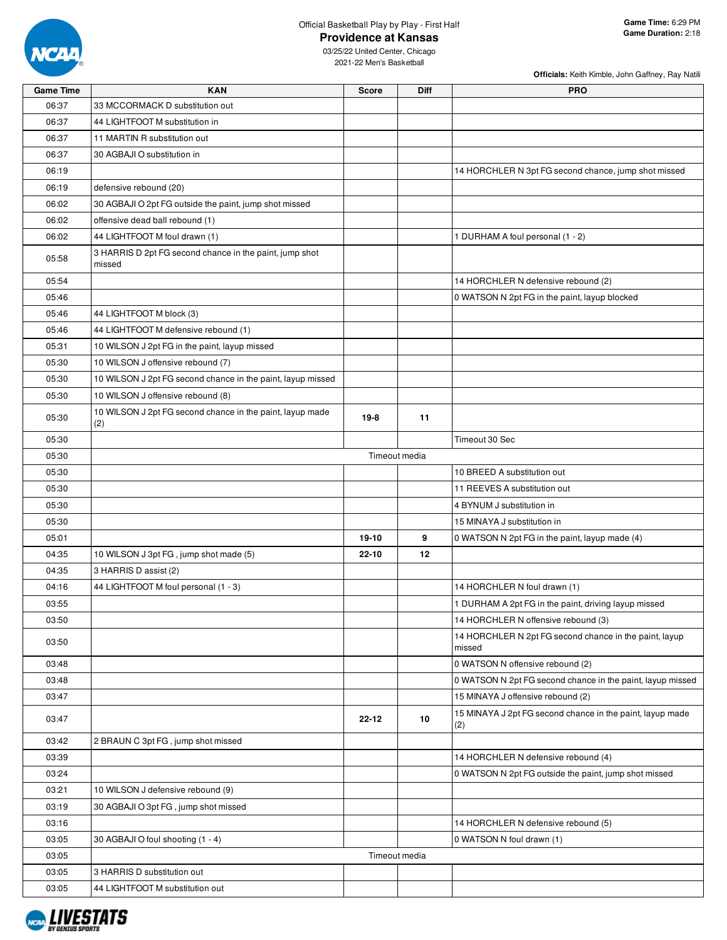

**Officials:** Keith Kimble, John Gaffney, Ray Natili

| <b>Game Time</b> | <b>KAN</b>                                                        | <b>Score</b> | Diff          | <b>PRO</b>                                                       |
|------------------|-------------------------------------------------------------------|--------------|---------------|------------------------------------------------------------------|
| 06:37            | 33 MCCORMACK D substitution out                                   |              |               |                                                                  |
| 06:37            | 44 LIGHTFOOT M substitution in                                    |              |               |                                                                  |
| 06:37            | 11 MARTIN R substitution out                                      |              |               |                                                                  |
| 06:37            | 30 AGBAJI O substitution in                                       |              |               |                                                                  |
| 06:19            |                                                                   |              |               | 14 HORCHLER N 3pt FG second chance, jump shot missed             |
| 06:19            | defensive rebound (20)                                            |              |               |                                                                  |
| 06:02            | 30 AGBAJI O 2pt FG outside the paint, jump shot missed            |              |               |                                                                  |
| 06:02            | offensive dead ball rebound (1)                                   |              |               |                                                                  |
| 06:02            | 44 LIGHTFOOT M foul drawn (1)                                     |              |               | 1 DURHAM A foul personal (1 - 2)                                 |
| 05:58            | 3 HARRIS D 2pt FG second chance in the paint, jump shot<br>missed |              |               |                                                                  |
| 05:54            |                                                                   |              |               | 14 HORCHLER N defensive rebound (2)                              |
| 05:46            |                                                                   |              |               | 0 WATSON N 2pt FG in the paint, layup blocked                    |
| 05:46            | 44 LIGHTFOOT M block (3)                                          |              |               |                                                                  |
| 05:46            | 44 LIGHTFOOT M defensive rebound (1)                              |              |               |                                                                  |
| 05:31            | 10 WILSON J 2pt FG in the paint, layup missed                     |              |               |                                                                  |
| 05:30            | 10 WILSON J offensive rebound (7)                                 |              |               |                                                                  |
| 05:30            | 10 WILSON J 2pt FG second chance in the paint, layup missed       |              |               |                                                                  |
| 05:30            | 10 WILSON J offensive rebound (8)                                 |              |               |                                                                  |
|                  | 10 WILSON J 2pt FG second chance in the paint, layup made         |              |               |                                                                  |
| 05:30            | (2)                                                               | $19-8$       | 11            |                                                                  |
| 05:30            |                                                                   |              |               | Timeout 30 Sec                                                   |
| 05:30            |                                                                   |              | Timeout media |                                                                  |
| 05:30            |                                                                   |              |               | 10 BREED A substitution out                                      |
| 05:30            |                                                                   |              |               | 11 REEVES A substitution out                                     |
| 05:30            |                                                                   |              |               | 4 BYNUM J substitution in                                        |
| 05:30            |                                                                   |              |               | 15 MINAYA J substitution in                                      |
| 05:01            |                                                                   | 19-10        | 9             | 0 WATSON N 2pt FG in the paint, layup made (4)                   |
| 04:35            | 10 WILSON J 3pt FG, jump shot made (5)                            | 22-10        | 12            |                                                                  |
| 04:35            | 3 HARRIS D assist (2)                                             |              |               |                                                                  |
| 04:16            | 44 LIGHTFOOT M foul personal (1 - 3)                              |              |               | 14 HORCHLER N foul drawn (1)                                     |
| 03:55            |                                                                   |              |               | 1 DURHAM A 2pt FG in the paint, driving layup missed             |
| 03:50            |                                                                   |              |               | 14 HORCHLER N offensive rebound (3)                              |
| 03:50            |                                                                   |              |               | 14 HORCHLER N 2pt FG second chance in the paint, layup<br>missed |
| 03:48            |                                                                   |              |               | 0 WATSON N offensive rebound (2)                                 |
| 03:48            |                                                                   |              |               | 0 WATSON N 2pt FG second chance in the paint, layup missed       |
| 03:47            |                                                                   |              |               | 15 MINAYA J offensive rebound (2)                                |
| 03:47            |                                                                   | 22-12        | 10            | 15 MINAYA J 2pt FG second chance in the paint, layup made<br>(2) |
| 03:42            | 2 BRAUN C 3pt FG, jump shot missed                                |              |               |                                                                  |
| 03:39            |                                                                   |              |               | 14 HORCHLER N defensive rebound (4)                              |
| 03:24            |                                                                   |              |               | 0 WATSON N 2pt FG outside the paint, jump shot missed            |
| 03:21            | 10 WILSON J defensive rebound (9)                                 |              |               |                                                                  |
| 03:19            | 30 AGBAJI O 3pt FG, jump shot missed                              |              |               |                                                                  |
| 03:16            |                                                                   |              |               | 14 HORCHLER N defensive rebound (5)                              |
| 03:05            | 30 AGBAJI O foul shooting (1 - 4)                                 |              |               | 0 WATSON N foul drawn (1)                                        |
| 03:05            |                                                                   |              | Timeout media |                                                                  |
| 03:05            | 3 HARRIS D substitution out                                       |              |               |                                                                  |
| 03:05            | 44 LIGHTFOOT M substitution out                                   |              |               |                                                                  |
|                  |                                                                   |              |               |                                                                  |

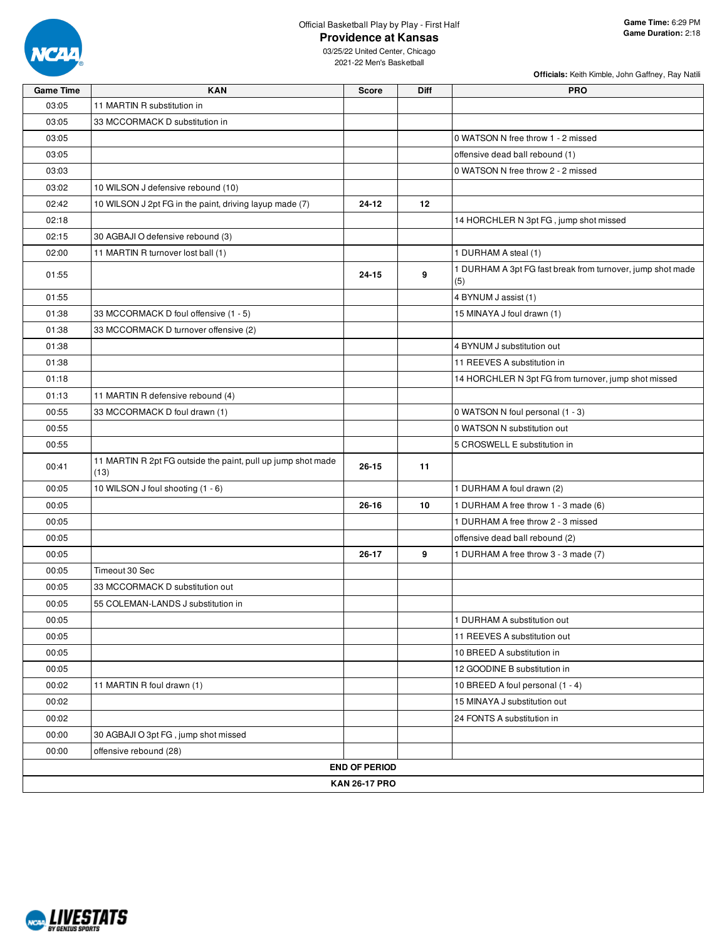

03/25/22 United Center, Chicago 2021-22 Men's Basketball

**Officials:** Keith Kimble, John Gaffney, Ray Natili

| <b>Game Time</b> | <b>KAN</b>                                                           | <b>Score</b>         | Diff | <b>PRO</b>                                                        |
|------------------|----------------------------------------------------------------------|----------------------|------|-------------------------------------------------------------------|
| 03:05            | 11 MARTIN R substitution in                                          |                      |      |                                                                   |
| 03:05            | 33 MCCORMACK D substitution in                                       |                      |      |                                                                   |
| 03:05            |                                                                      |                      |      | 0 WATSON N free throw 1 - 2 missed                                |
| 03:05            |                                                                      |                      |      | offensive dead ball rebound (1)                                   |
| 03:03            |                                                                      |                      |      | 0 WATSON N free throw 2 - 2 missed                                |
| 03:02            | 10 WILSON J defensive rebound (10)                                   |                      |      |                                                                   |
| 02:42            | 10 WILSON J 2pt FG in the paint, driving layup made (7)              | $24 - 12$            | 12   |                                                                   |
| 02:18            |                                                                      |                      |      | 14 HORCHLER N 3pt FG, jump shot missed                            |
| 02:15            | 30 AGBAJI O defensive rebound (3)                                    |                      |      |                                                                   |
| 02:00            | 11 MARTIN R turnover lost ball (1)                                   |                      |      | 1 DURHAM A steal (1)                                              |
| 01:55            |                                                                      | $24 - 15$            | 9    | 1 DURHAM A 3pt FG fast break from turnover, jump shot made<br>(5) |
| 01:55            |                                                                      |                      |      | 4 BYNUM J assist (1)                                              |
| 01:38            | 33 MCCORMACK D foul offensive (1 - 5)                                |                      |      | 15 MINAYA J foul drawn (1)                                        |
| 01:38            | 33 MCCORMACK D turnover offensive (2)                                |                      |      |                                                                   |
| 01:38            |                                                                      |                      |      | 4 BYNUM J substitution out                                        |
| 01:38            |                                                                      |                      |      | 11 REEVES A substitution in                                       |
| 01:18            |                                                                      |                      |      | 14 HORCHLER N 3pt FG from turnover, jump shot missed              |
| 01:13            | 11 MARTIN R defensive rebound (4)                                    |                      |      |                                                                   |
| 00:55            | 33 MCCORMACK D foul drawn (1)                                        |                      |      | 0 WATSON N foul personal (1 - 3)                                  |
| 00:55            |                                                                      |                      |      | 0 WATSON N substitution out                                       |
| 00:55            |                                                                      |                      |      | 5 CROSWELL E substitution in                                      |
| 00:41            | 11 MARTIN R 2pt FG outside the paint, pull up jump shot made<br>(13) | $26 - 15$            | 11   |                                                                   |
| 00:05            | 10 WILSON J foul shooting (1 - 6)                                    |                      |      | 1 DURHAM A foul drawn (2)                                         |
| 00:05            |                                                                      | $26 - 16$            | 10   | 1 DURHAM A free throw 1 - 3 made (6)                              |
| 00:05            |                                                                      |                      |      | 1 DURHAM A free throw 2 - 3 missed                                |
| 00:05            |                                                                      |                      |      | offensive dead ball rebound (2)                                   |
| 00:05            |                                                                      | $26 - 17$            | 9    | 1 DURHAM A free throw 3 - 3 made (7)                              |
| 00:05            | Timeout 30 Sec                                                       |                      |      |                                                                   |
| 00:05            | 33 MCCORMACK D substitution out                                      |                      |      |                                                                   |
| 00:05            | 55 COLEMAN-LANDS J substitution in                                   |                      |      |                                                                   |
| 00:05            |                                                                      |                      |      | 1 DURHAM A substitution out                                       |
| 00:05            |                                                                      |                      |      | 11 REEVES A substitution out                                      |
| 00:05            |                                                                      |                      |      | 10 BREED A substitution in                                        |
| 00:05            |                                                                      |                      |      | 12 GOODINE B substitution in                                      |
| 00:02            | 11 MARTIN R foul drawn (1)                                           |                      |      | 10 BREED A foul personal (1 - 4)                                  |
| 00:02            |                                                                      |                      |      | 15 MINAYA J substitution out                                      |
| 00:02            |                                                                      |                      |      | 24 FONTS A substitution in                                        |
| 00:00            | 30 AGBAJI O 3pt FG, jump shot missed                                 |                      |      |                                                                   |
| 00:00            | offensive rebound (28)                                               |                      |      |                                                                   |
|                  |                                                                      | <b>END OF PERIOD</b> |      |                                                                   |
|                  |                                                                      | <b>KAN 26-17 PRO</b> |      |                                                                   |

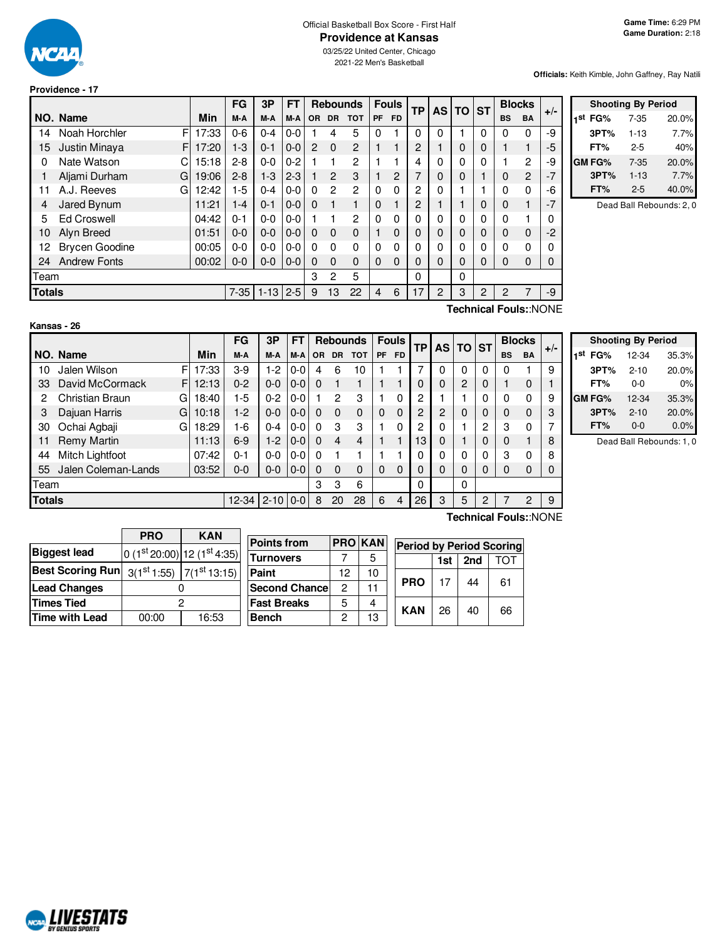

#### Official Basketball Box Score - First Half **Providence at Kansas**

03/25/22 United Center, Chicago 2021-22 Men's Basketball

#### **Providence - 17**

**Officials:** Keith Kimble, John Gaffney, Ray Natili

|      |                                                  |       | FG      | 3P      | FT      |           | <b>Rebounds</b> |                |           | <b>Fouls</b> | ТP | <b>AS</b>      | <b>TO</b> | <b>ST</b> | <b>Blocks</b>  |           | $+/-$ |
|------|--------------------------------------------------|-------|---------|---------|---------|-----------|-----------------|----------------|-----------|--------------|----|----------------|-----------|-----------|----------------|-----------|-------|
|      | NO. Name                                         | Min   | M-A     | M-A     | M-A     | <b>OR</b> | <b>DR</b>       | <b>TOT</b>     | <b>PF</b> | <b>FD</b>    |    |                |           |           | <b>BS</b>      | <b>BA</b> |       |
| 14   | F<br>Noah Horchler                               | 17:33 | $0 - 6$ | $0 - 4$ | $0-0$   |           | 4               | 5              | $\Omega$  |              | 0  | $\Omega$       |           | $\Omega$  | $\Omega$       | 0         | -9    |
| 15   | F<br>Justin Minaya                               | 17:20 | $1 - 3$ | $0 - 1$ | $0-0$   | 2         | $\Omega$        | $\overline{2}$ |           |              | 2  |                | 0         | 0         |                |           | -5    |
| 0    | Nate Watson<br>С                                 | 15:18 | $2 - 8$ | $0 - 0$ | $0 - 2$ |           |                 | 2              |           |              | 4  | 0              | 0         | $\Omega$  |                | 2         | -9    |
|      | Aljami Durham<br>G                               | 19:06 | $2 - 8$ | $1 - 3$ | $2 - 3$ |           | $\mathbf{2}$    | 3              |           | 2            | 7  | 0              | 0         |           | $\Omega$       | 2         | $-7$  |
| 11   | A.J. Reeves<br>G                                 | 12:42 | 1-5     | $0 - 4$ | $0 - 0$ | $\Omega$  | $\overline{2}$  | $\mathcal{P}$  | 0         | 0            | 2  | 0              |           |           | $\Omega$       | 0         | -6    |
| 4    | Jared Bynum                                      | 11:21 | $1 - 4$ | $0 - 1$ | $0 - 0$ | $\Omega$  |                 | 1              | 0         |              | 2  |                |           | $\Omega$  | $\mathbf 0$    |           | $-7$  |
| 5    | <b>Ed Croswell</b>                               | 04:42 | $0 - 1$ | $0 - 0$ | $0 - 0$ |           |                 | $\overline{2}$ | $\Omega$  | 0            | 0  | 0              | 0         | $\Omega$  | $\Omega$       |           | 0     |
| 10   | Alyn Breed                                       | 01:51 | $0 - 0$ | $0 - 0$ | $0 - 0$ | $\Omega$  | $\Omega$        | $\Omega$       |           | $\Omega$     | 0  | $\Omega$       | $\Omega$  | $\Omega$  | $\Omega$       | $\Omega$  | $-2$  |
| 12   | <b>Brycen Goodine</b>                            | 00:05 | $0-0$   | $0 - 0$ | $0-0$   | $\Omega$  | $\Omega$        | 0              | 0         | 0            | 0  | 0              | 0         | $\Omega$  | $\Omega$       | 0         | 0     |
| 24   | <b>Andrew Fonts</b>                              | 00:02 | $0 - 0$ | $0 - 0$ | $0 - 0$ | $\Omega$  | $\Omega$        | 0              | $\Omega$  | $\Omega$     | 0  | $\Omega$       | 0         | $\Omega$  | $\Omega$       | 0         | 0     |
| Team |                                                  |       |         |         |         |           | 2               | 5              |           |              | 0  |                | 0         |           |                |           |       |
|      | <b>Totals</b><br>$7 - 35$<br>$1 - 13$<br>$2 - 5$ |       |         |         |         |           |                 | 22             | 4         | 6            | 17 | $\overline{2}$ | 3         | 2         | $\overline{2}$ | 7         | -9    |
|      | 13<br>Technical Fouls::NONE                      |       |         |         |         |           |                 |                |           |              |    |                |           |           |                |           |       |

|               | <b>Shooting By Period</b> |       |
|---------------|---------------------------|-------|
| 1st<br>FG%    | 7-35                      | 20.0% |
| 3PT%          | $1 - 13$                  | 7.7%  |
| FT%           | $2 - 5$                   | 40%   |
| <b>GM FG%</b> | 7-35                      | 20.0% |
| 3PT%          | $1 - 13$                  | 7.7%  |
| FT%           | $2 - 5$                   | 40.0% |

Dead Ball Rebounds: 2, 0

|               | Kansas - 26         |                                   |       |         |          |         |              |           |             |           |           |    |               |                |                |           |              |             |
|---------------|---------------------|-----------------------------------|-------|---------|----------|---------|--------------|-----------|-------------|-----------|-----------|----|---------------|----------------|----------------|-----------|--------------|-------------|
|               |                     | FG<br>3P<br>FT<br><b>Rebounds</b> |       |         |          |         | <b>Fouls</b> | TР        | <b>AS</b>   | <b>TO</b> | <b>ST</b> |    | <b>Blocks</b> | $+/-$          |                |           |              |             |
|               | NO. Name            |                                   | Min   | M-A     | M-A      | M-A     | OR.          | <b>DR</b> | <b>TOT</b>  | <b>PF</b> | <b>FD</b> |    |               |                |                | <b>BS</b> | <b>BA</b>    |             |
| 10            | Jalen Wilson        | F                                 | 17:33 | $3-9$   | 1-2      | $0-0$   | 4            | 6         | 10          |           |           | 7  | 0             | $\Omega$       | 0              | 0         |              | 9           |
| 33            | David McCormack     | F                                 | 12:13 | $0 - 2$ | $0 - 0$  | $0 - 0$ | $\Omega$     |           | 1           |           |           | 0  | $\Omega$      | $\overline{2}$ | 0              |           | 0            |             |
| 2             | Christian Braun     | G                                 | 18:40 | 1-5     | $0 - 2$  | $0-0$   |              | 2         | 3           |           | 0         | 2  |               |                | 0              | 0         | $\Omega$     | 9           |
| 3             | Dajuan Harris       | GI                                | 10:18 | $1-2$   | $0 - 0$  | $0-0$   | $\Omega$     | $\Omega$  | $\mathbf 0$ | $\Omega$  | $\Omega$  | 2  | 2             | $\Omega$       | $\mathbf 0$    | 0         | 0            | 3           |
| 30            | Ochai Agbaji        | G                                 | 18:29 | 1-6     | $0 - 4$  | $0-0$   | $\Omega$     | 3         | 3           |           | 0         | 2  | 0             |                | $\overline{c}$ | 3         | $\mathbf{0}$ | 7           |
| 11            | <b>Remy Martin</b>  |                                   | 11:13 | $6-9$   | $1-2$    | $0-0$   | $\Omega$     | 4         | 4           |           | 1         | 13 | 0             |                | 0              | 0         | 1            | 8           |
| 44            | Mitch Lightfoot     |                                   | 07:42 | $0 - 1$ | $0 - 0$  | $0-0$   | $\Omega$     |           |             |           |           | 0  | 0             | 0              | 0              | 3         | 0            | 8           |
| 55            | Jalen Coleman-Lands |                                   | 03:52 | $0 - 0$ | $0 - 0$  | $0-0$   | $\Omega$     | $\Omega$  | $\Omega$    | $\Omega$  | $\Omega$  | 0  | $\Omega$      | $\Omega$       | 0              | 0         | 0            | $\mathbf 0$ |
| Team          |                     |                                   |       |         |          |         | 3            | 3         | 6           |           |           | 0  |               | 0              |                |           |              |             |
| <b>Totals</b> |                     |                                   |       | 12-34   | $2 - 10$ | $0 - 0$ | 8            | 20        | 28          | 6         | 4         | 26 | 3             | 5              | 2              |           | 2            | 9           |

|     | <b>Shooting By Period</b> |          |       |  |  |  |  |  |  |  |  |  |  |
|-----|---------------------------|----------|-------|--|--|--|--|--|--|--|--|--|--|
| 1st | FG%                       | 12-34    | 35.3% |  |  |  |  |  |  |  |  |  |  |
|     | 3PT%                      | $2 - 10$ | 20.0% |  |  |  |  |  |  |  |  |  |  |
|     | FT%                       | 0-0      | 0%    |  |  |  |  |  |  |  |  |  |  |
|     | GM FG%                    | 12-34    | 35.3% |  |  |  |  |  |  |  |  |  |  |
|     | 3PT%                      | $2 - 10$ | 20.0% |  |  |  |  |  |  |  |  |  |  |
|     | FT%                       | $0 - 0$  | 0.0%  |  |  |  |  |  |  |  |  |  |  |

Dead Ball Rebounds: 1, 0

|                         | <b>PRO</b> | <b>KAN</b>                            |                       |    |               |                                 |     |     |     |  |  |  |
|-------------------------|------------|---------------------------------------|-----------------------|----|---------------|---------------------------------|-----|-----|-----|--|--|--|
|                         |            |                                       | <b>Points from</b>    |    | <b>PROKAN</b> | <b>Period by Period Scoring</b> |     |     |     |  |  |  |
| <b>Biggest lead</b>     |            | $0(1st20:00)12(1st4:35)$              |                       |    |               |                                 |     |     |     |  |  |  |
|                         |            |                                       | <b>Turnovers</b>      |    | 5             |                                 | 1st | 2nd | тот |  |  |  |
| <b>Best Scoring Run</b> |            | $3(1st1:55)$ 7(1 <sup>st</sup> 13:15) | Paint                 | 12 | 10            |                                 |     |     |     |  |  |  |
| <b>Lead Changes</b>     |            |                                       | <b>Second Chancel</b> | 2  |               | <b>PRO</b>                      |     | 44  | 61  |  |  |  |
| <b>Times Tied</b>       |            |                                       | <b>Fast Breaks</b>    | 5  | 4             | <b>KAN</b>                      | 26  | 40  |     |  |  |  |
| <b>Time with Lead</b>   | 00:00      | 16:53                                 | <b>Bench</b>          | റ  | 13            |                                 |     |     | 66  |  |  |  |

**Technical Fouls:**:NONE

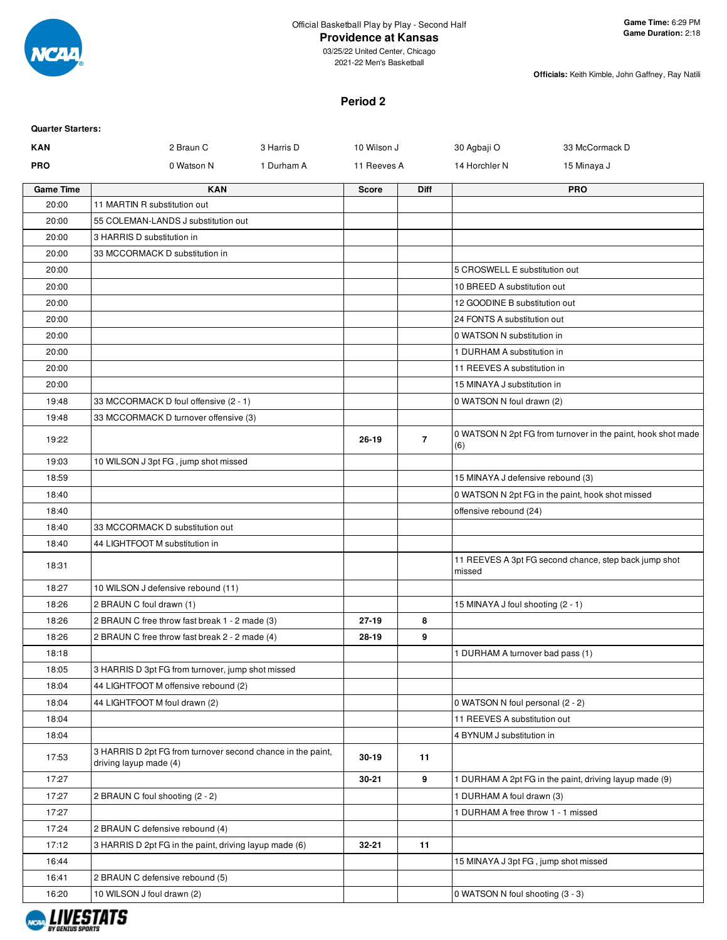

### **Providence at Kansas**

03/25/22 United Center, Chicago 2021-22 Men's Basketball

**Officials:** Keith Kimble, John Gaffney, Ray Natili

#### **Period 2**

| <b>Quarter Starters:</b> |                                                                                       |            |              |                |                                      |                                                              |
|--------------------------|---------------------------------------------------------------------------------------|------------|--------------|----------------|--------------------------------------|--------------------------------------------------------------|
| <b>KAN</b>               | 2 Braun C                                                                             | 3 Harris D | 10 Wilson J  |                | 30 Agbaji O                          | 33 McCormack D                                               |
| <b>PRO</b>               | 0 Watson N                                                                            | 1 Durham A | 11 Reeves A  |                | 14 Horchler N                        | 15 Minaya J                                                  |
| <b>Game Time</b>         | <b>KAN</b>                                                                            |            | <b>Score</b> | <b>Diff</b>    |                                      | <b>PRO</b>                                                   |
| 20:00                    | 11 MARTIN R substitution out                                                          |            |              |                |                                      |                                                              |
| 20:00                    | 55 COLEMAN-LANDS J substitution out                                                   |            |              |                |                                      |                                                              |
| 20:00                    | 3 HARRIS D substitution in                                                            |            |              |                |                                      |                                                              |
| 20:00                    | 33 MCCORMACK D substitution in                                                        |            |              |                |                                      |                                                              |
| 20:00                    |                                                                                       |            |              |                | 5 CROSWELL E substitution out        |                                                              |
| 20:00                    |                                                                                       |            |              |                | 10 BREED A substitution out          |                                                              |
| 20:00                    |                                                                                       |            |              |                | 12 GOODINE B substitution out        |                                                              |
| 20:00                    |                                                                                       |            |              |                | 24 FONTS A substitution out          |                                                              |
| 20:00                    |                                                                                       |            |              |                | 0 WATSON N substitution in           |                                                              |
| 20:00                    |                                                                                       |            |              |                | 1 DURHAM A substitution in           |                                                              |
| 20:00                    |                                                                                       |            |              |                | 11 REEVES A substitution in          |                                                              |
| 20:00                    |                                                                                       |            |              |                | 15 MINAYA J substitution in          |                                                              |
| 19:48                    | 33 MCCORMACK D foul offensive (2 - 1)                                                 |            |              |                | 0 WATSON N foul drawn (2)            |                                                              |
| 19:48                    | 33 MCCORMACK D turnover offensive (3)                                                 |            |              |                |                                      |                                                              |
| 19:22                    |                                                                                       |            | $26 - 19$    | $\overline{7}$ | (6)                                  | 0 WATSON N 2pt FG from turnover in the paint, hook shot made |
| 19:03                    | 10 WILSON J 3pt FG, jump shot missed                                                  |            |              |                |                                      |                                                              |
| 18:59                    |                                                                                       |            |              |                | 15 MINAYA J defensive rebound (3)    |                                                              |
| 18:40                    |                                                                                       |            |              |                |                                      | 0 WATSON N 2pt FG in the paint, hook shot missed             |
| 18:40                    |                                                                                       |            |              |                | offensive rebound (24)               |                                                              |
| 18:40                    | 33 MCCORMACK D substitution out                                                       |            |              |                |                                      |                                                              |
| 18:40                    | 44 LIGHTFOOT M substitution in                                                        |            |              |                |                                      |                                                              |
| 18:31                    |                                                                                       |            |              |                | missed                               | 11 REEVES A 3pt FG second chance, step back jump shot        |
| 18:27                    | 10 WILSON J defensive rebound (11)                                                    |            |              |                |                                      |                                                              |
| 18:26                    | 2 BRAUN C foul drawn (1)                                                              |            |              |                | 15 MINAYA J foul shooting (2 - 1)    |                                                              |
| 18:26                    | 2 BRAUN C free throw fast break 1 - 2 made (3)                                        |            | $27 - 19$    | 8              |                                      |                                                              |
| 18:26                    | 2 BRAUN C free throw fast break 2 - 2 made (4)                                        |            | 28-19        | 9              |                                      |                                                              |
| 18:18                    |                                                                                       |            |              |                | 1 DURHAM A turnover bad pass (1)     |                                                              |
| 18:05                    | 3 HARRIS D 3pt FG from turnover, jump shot missed                                     |            |              |                |                                      |                                                              |
| 18:04                    | 44 LIGHTFOOT M offensive rebound (2)                                                  |            |              |                |                                      |                                                              |
| 18:04                    | 44 LIGHTFOOT M foul drawn (2)                                                         |            |              |                | 0 WATSON N foul personal (2 - 2)     |                                                              |
| 18:04                    |                                                                                       |            |              |                | 11 REEVES A substitution out         |                                                              |
| 18:04                    |                                                                                       |            |              |                | 4 BYNUM J substitution in            |                                                              |
| 17:53                    | 3 HARRIS D 2pt FG from turnover second chance in the paint,<br>driving layup made (4) |            | $30 - 19$    | 11             |                                      |                                                              |
| 17:27                    |                                                                                       |            | 30-21        | 9              |                                      | 1 DURHAM A 2pt FG in the paint, driving layup made (9)       |
| 17:27                    | 2 BRAUN C foul shooting (2 - 2)                                                       |            |              |                | 1 DURHAM A foul drawn (3)            |                                                              |
| 17:27                    |                                                                                       |            |              |                | 1 DURHAM A free throw 1 - 1 missed   |                                                              |
| 17:24                    | 2 BRAUN C defensive rebound (4)                                                       |            |              |                |                                      |                                                              |
| 17:12                    | 3 HARRIS D 2pt FG in the paint, driving layup made (6)                                |            | $32 - 21$    | 11             |                                      |                                                              |
| 16:44                    |                                                                                       |            |              |                | 15 MINAYA J 3pt FG, jump shot missed |                                                              |
| 16:41                    | 2 BRAUN C defensive rebound (5)                                                       |            |              |                |                                      |                                                              |
| 16:20                    | 10 WILSON J foul drawn (2)                                                            |            |              |                | 0 WATSON N foul shooting (3 - 3)     |                                                              |
|                          |                                                                                       |            |              |                |                                      |                                                              |

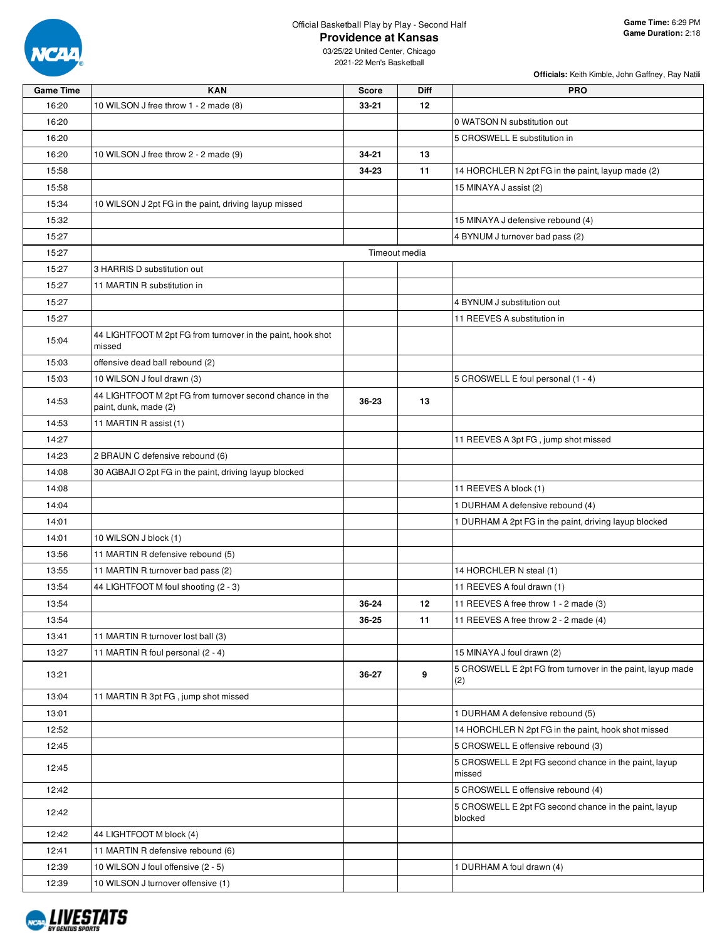

**Officials:** Keith Kimble, John Gaffney, Ray Natili

| <b>Game Time</b> | <b>KAN</b>                                                                        | <b>Score</b> | Diff          | <b>PRO</b>                                                        |
|------------------|-----------------------------------------------------------------------------------|--------------|---------------|-------------------------------------------------------------------|
| 16:20            | 10 WILSON J free throw 1 - 2 made (8)                                             | $33 - 21$    | 12            |                                                                   |
| 16:20            |                                                                                   |              |               | 0 WATSON N substitution out                                       |
| 16:20            |                                                                                   |              |               | 5 CROSWELL E substitution in                                      |
| 16:20            | 10 WILSON J free throw 2 - 2 made (9)                                             | 34-21        | 13            |                                                                   |
| 15:58            |                                                                                   | 34-23        | 11            | 14 HORCHLER N 2pt FG in the paint, layup made (2)                 |
| 15:58            |                                                                                   |              |               | 15 MINAYA J assist (2)                                            |
| 15:34            | 10 WILSON J 2pt FG in the paint, driving layup missed                             |              |               |                                                                   |
| 15:32            |                                                                                   |              |               | 15 MINAYA J defensive rebound (4)                                 |
| 15:27            |                                                                                   |              |               | 4 BYNUM J turnover bad pass (2)                                   |
| 15:27            |                                                                                   |              | Timeout media |                                                                   |
| 15:27            | 3 HARRIS D substitution out                                                       |              |               |                                                                   |
| 15:27            | 11 MARTIN R substitution in                                                       |              |               |                                                                   |
| 15:27            |                                                                                   |              |               | 4 BYNUM J substitution out                                        |
| 15:27            |                                                                                   |              |               | 11 REEVES A substitution in                                       |
| 15:04            | 44 LIGHTFOOT M 2pt FG from turnover in the paint, hook shot<br>missed             |              |               |                                                                   |
| 15:03            | offensive dead ball rebound (2)                                                   |              |               |                                                                   |
| 15:03            | 10 WILSON J foul drawn (3)                                                        |              |               | 5 CROSWELL E foul personal (1 - 4)                                |
| 14:53            | 44 LIGHTFOOT M 2pt FG from turnover second chance in the<br>paint, dunk, made (2) | 36-23        | 13            |                                                                   |
| 14:53            | 11 MARTIN R assist (1)                                                            |              |               |                                                                   |
| 14:27            |                                                                                   |              |               | 11 REEVES A 3pt FG, jump shot missed                              |
| 14:23            | 2 BRAUN C defensive rebound (6)                                                   |              |               |                                                                   |
| 14:08            | 30 AGBAJI O 2pt FG in the paint, driving layup blocked                            |              |               |                                                                   |
| 14:08            |                                                                                   |              |               | 11 REEVES A block (1)                                             |
| 14:04            |                                                                                   |              |               | 1 DURHAM A defensive rebound (4)                                  |
| 14:01            |                                                                                   |              |               | 1 DURHAM A 2pt FG in the paint, driving layup blocked             |
| 14:01            | 10 WILSON J block (1)                                                             |              |               |                                                                   |
| 13:56            | 11 MARTIN R defensive rebound (5)                                                 |              |               |                                                                   |
| 13:55            | 11 MARTIN R turnover bad pass (2)                                                 |              |               | 14 HORCHLER N steal (1)                                           |
| 13:54            | 44 LIGHTFOOT M foul shooting (2 - 3)                                              |              |               | 11 REEVES A foul drawn (1)                                        |
| 13:54            |                                                                                   | 36-24        | 12            | 11 REEVES A free throw 1 - 2 made (3)                             |
| 13:54            |                                                                                   | 36-25        | 11            | 11 REEVES A free throw 2 - 2 made (4)                             |
| 13:41            | 11 MARTIN R turnover lost ball (3)                                                |              |               |                                                                   |
| 13:27            | 11 MARTIN R foul personal (2 - 4)                                                 |              |               | 15 MINAYA J foul drawn (2)                                        |
| 13:21            |                                                                                   | 36-27        | 9             | 5 CROSWELL E 2pt FG from turnover in the paint, layup made<br>(2) |
| 13:04            | 11 MARTIN R 3pt FG, jump shot missed                                              |              |               |                                                                   |
| 13:01            |                                                                                   |              |               | 1 DURHAM A defensive rebound (5)                                  |
| 12:52            |                                                                                   |              |               | 14 HORCHLER N 2pt FG in the paint, hook shot missed               |
| 12:45            |                                                                                   |              |               | 5 CROSWELL E offensive rebound (3)                                |
| 12:45            |                                                                                   |              |               | 5 CROSWELL E 2pt FG second chance in the paint, layup<br>missed   |
| 12:42            |                                                                                   |              |               | 5 CROSWELL E offensive rebound (4)                                |
| 12:42            |                                                                                   |              |               | 5 CROSWELL E 2pt FG second chance in the paint, layup<br>blocked  |
| 12:42            | 44 LIGHTFOOT M block (4)                                                          |              |               |                                                                   |
| 12:41            | 11 MARTIN R defensive rebound (6)                                                 |              |               |                                                                   |
| 12:39            | 10 WILSON J foul offensive (2 - 5)                                                |              |               | 1 DURHAM A foul drawn (4)                                         |
| 12:39            | 10 WILSON J turnover offensive (1)                                                |              |               |                                                                   |

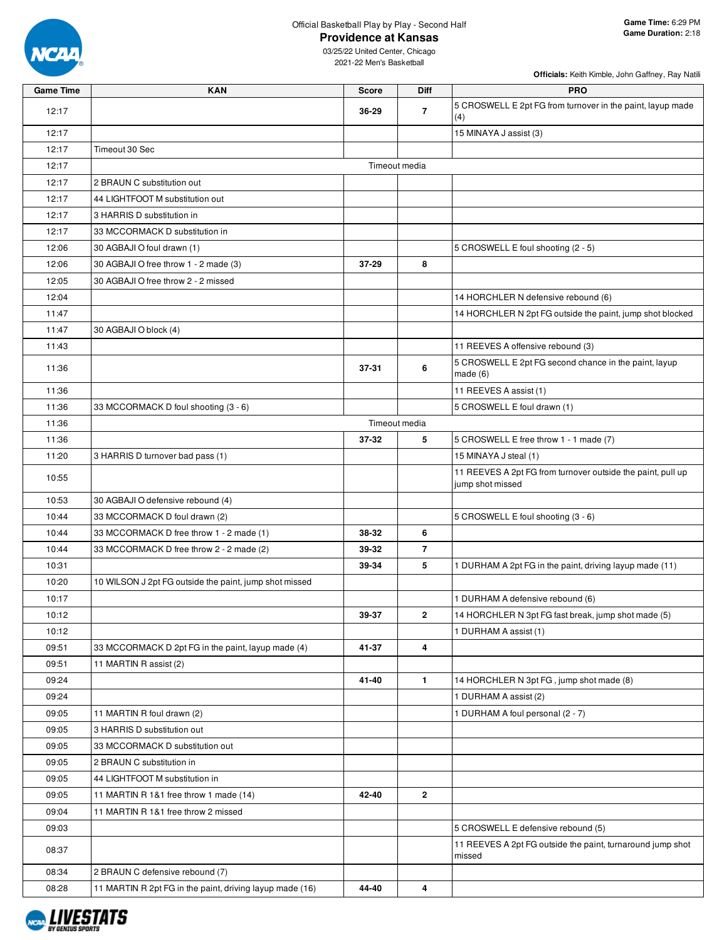

2021-22 Men's Basketball

**Officials:** Keith Kimble, John Gaffney, Ray Natili

| <b>Game Time</b> | <b>KAN</b>                                               | <b>Score</b> | <b>Diff</b>             | <b>PRO</b>                                                                      |
|------------------|----------------------------------------------------------|--------------|-------------------------|---------------------------------------------------------------------------------|
| 12:17            |                                                          | 36-29        | $\overline{7}$          | 5 CROSWELL E 2pt FG from turnover in the paint, layup made<br>(4)               |
| 12:17            |                                                          |              |                         | 15 MINAYA J assist (3)                                                          |
| 12:17            | Timeout 30 Sec                                           |              |                         |                                                                                 |
| 12:17            |                                                          |              | Timeout media           |                                                                                 |
| 12:17            | 2 BRAUN C substitution out                               |              |                         |                                                                                 |
| 12:17            | 44 LIGHTFOOT M substitution out                          |              |                         |                                                                                 |
| 12:17            | 3 HARRIS D substitution in                               |              |                         |                                                                                 |
| 12:17            | 33 MCCORMACK D substitution in                           |              |                         |                                                                                 |
| 12:06            | 30 AGBAJI O foul drawn (1)                               |              |                         | 5 CROSWELL E foul shooting (2 - 5)                                              |
| 12:06            | 30 AGBAJI O free throw 1 - 2 made (3)                    | 37-29        | 8                       |                                                                                 |
| 12:05            | 30 AGBAJI O free throw 2 - 2 missed                      |              |                         |                                                                                 |
| 12:04            |                                                          |              |                         | 14 HORCHLER N defensive rebound (6)                                             |
| 11:47            |                                                          |              |                         | 14 HORCHLER N 2pt FG outside the paint, jump shot blocked                       |
| 11:47            | 30 AGBAJI O block (4)                                    |              |                         |                                                                                 |
| 11:43            |                                                          |              |                         | 11 REEVES A offensive rebound (3)                                               |
| 11:36            |                                                          | 37-31        | 6                       | 5 CROSWELL E 2pt FG second chance in the paint, layup<br>made $(6)$             |
| 11:36            |                                                          |              |                         | 11 REEVES A assist (1)                                                          |
| 11:36            | 33 MCCORMACK D foul shooting (3 - 6)                     |              |                         | 5 CROSWELL E foul drawn (1)                                                     |
| 11:36            |                                                          |              | Timeout media           |                                                                                 |
| 11:36            |                                                          | 37-32        | 5                       | 5 CROSWELL E free throw 1 - 1 made (7)                                          |
| 11:20            | 3 HARRIS D turnover bad pass (1)                         |              |                         | 15 MINAYA J steal (1)                                                           |
| 10:55            |                                                          |              |                         | 11 REEVES A 2pt FG from turnover outside the paint, pull up<br>jump shot missed |
| 10:53            | 30 AGBAJI O defensive rebound (4)                        |              |                         |                                                                                 |
| 10:44            | 33 MCCORMACK D foul drawn (2)                            |              |                         | 5 CROSWELL E foul shooting (3 - 6)                                              |
| 10:44            | 33 MCCORMACK D free throw 1 - 2 made (1)                 | 38-32        | 6                       |                                                                                 |
| 10:44            | 33 MCCORMACK D free throw 2 - 2 made (2)                 | 39-32        | $\overline{7}$          |                                                                                 |
| 10:31            |                                                          | 39-34        | 5                       | 1 DURHAM A 2pt FG in the paint, driving layup made (11)                         |
| 10:20            | 10 WILSON J 2pt FG outside the paint, jump shot missed   |              |                         |                                                                                 |
| 10:17            |                                                          |              |                         | 1 DURHAM A defensive rebound (6)                                                |
| 10:12            |                                                          | 39-37        | $\mathbf{2}$            | 14 HORCHLER N 3pt FG fast break, jump shot made (5)                             |
| 10:12            |                                                          |              |                         | 1 DURHAM A assist (1)                                                           |
| 09:51            | 33 MCCORMACK D 2pt FG in the paint, layup made (4)       | 41-37        | 4                       |                                                                                 |
| 09:51            | 11 MARTIN R assist (2)                                   |              |                         |                                                                                 |
| 09:24            |                                                          | 41-40        | $\mathbf{1}$            | 14 HORCHLER N 3pt FG, jump shot made (8)                                        |
| 09:24            |                                                          |              |                         | 1 DURHAM A assist (2)                                                           |
| 09:05            | 11 MARTIN R foul drawn (2)                               |              |                         | 1 DURHAM A foul personal (2 - 7)                                                |
| 09:05            | 3 HARRIS D substitution out                              |              |                         |                                                                                 |
| 09:05            | 33 MCCORMACK D substitution out                          |              |                         |                                                                                 |
| 09:05            | 2 BRAUN C substitution in                                |              |                         |                                                                                 |
| 09:05            | 44 LIGHTFOOT M substitution in                           |              |                         |                                                                                 |
| 09:05            | 11 MARTIN R 1&1 free throw 1 made (14)                   | 42-40        | $\overline{\mathbf{2}}$ |                                                                                 |
| 09:04            | 11 MARTIN R 1&1 free throw 2 missed                      |              |                         |                                                                                 |
| 09:03            |                                                          |              |                         | 5 CROSWELL E defensive rebound (5)                                              |
| 08:37            |                                                          |              |                         | 11 REEVES A 2pt FG outside the paint, turnaround jump shot<br>missed            |
| 08:34            | 2 BRAUN C defensive rebound (7)                          |              |                         |                                                                                 |
| 08:28            | 11 MARTIN R 2pt FG in the paint, driving layup made (16) | 44-40        | 4                       |                                                                                 |

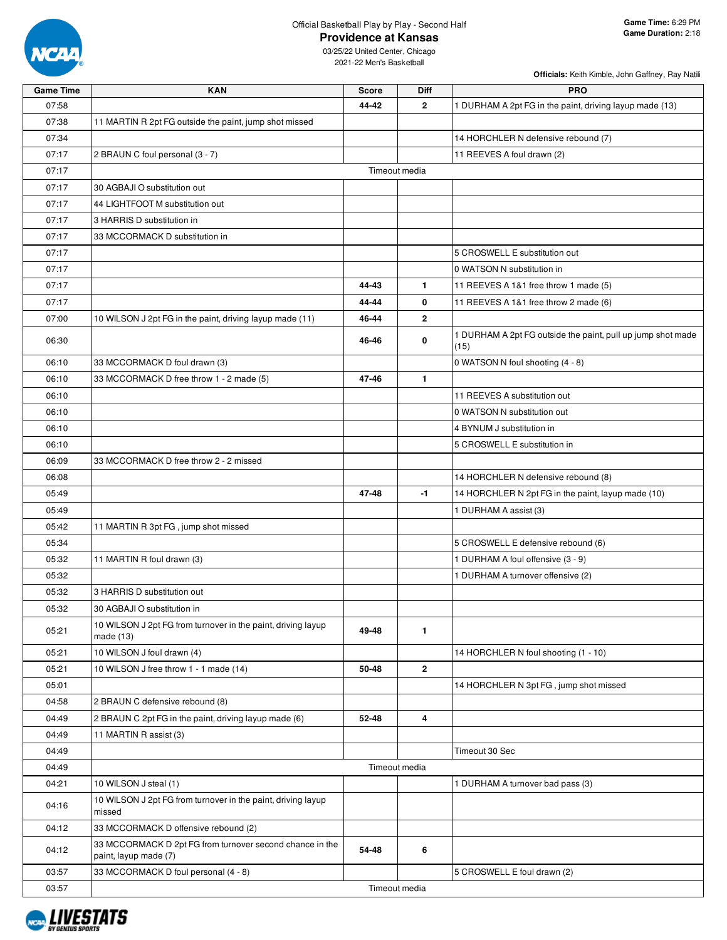

**Officials:** Keith Kimble, John Gaffney, Ray Natili

**Providence at Kansas** 03/25/22 United Center, Chicago

2021-22 Men's Basketball

| <b>Game Time</b> | <b>KAN</b>                                                                        | <b>Score</b>  | <b>Diff</b>    | <b>PRO</b>                                                          |
|------------------|-----------------------------------------------------------------------------------|---------------|----------------|---------------------------------------------------------------------|
| 07:58            |                                                                                   | 44-42         | $\overline{2}$ | 1 DURHAM A 2pt FG in the paint, driving layup made (13)             |
| 07:38            | 11 MARTIN R 2pt FG outside the paint, jump shot missed                            |               |                |                                                                     |
| 07:34            |                                                                                   |               |                | 14 HORCHLER N defensive rebound (7)                                 |
| 07:17            | 2 BRAUN C foul personal (3 - 7)                                                   |               |                | 11 REEVES A foul drawn (2)                                          |
| 07:17            |                                                                                   |               | Timeout media  |                                                                     |
| 07:17            | 30 AGBAJI O substitution out                                                      |               |                |                                                                     |
| 07:17            | 44 LIGHTFOOT M substitution out                                                   |               |                |                                                                     |
| 07:17            | 3 HARRIS D substitution in                                                        |               |                |                                                                     |
| 07:17            | 33 MCCORMACK D substitution in                                                    |               |                |                                                                     |
| 07:17            |                                                                                   |               |                | 5 CROSWELL E substitution out                                       |
|                  |                                                                                   |               |                |                                                                     |
| 07:17            |                                                                                   |               |                | 0 WATSON N substitution in                                          |
| 07:17            |                                                                                   | 44-43         | 1              | 11 REEVES A 1&1 free throw 1 made (5)                               |
| 07:17            |                                                                                   | 44-44         | 0              | 11 REEVES A 1&1 free throw 2 made (6)                               |
| 07:00            | 10 WILSON J 2pt FG in the paint, driving layup made (11)                          | 46-44         | $\mathbf{2}$   |                                                                     |
| 06:30            |                                                                                   | 46-46         | 0              | 1 DURHAM A 2pt FG outside the paint, pull up jump shot made<br>(15) |
| 06:10            | 33 MCCORMACK D foul drawn (3)                                                     |               |                | 0 WATSON N foul shooting (4 - 8)                                    |
| 06:10            | 33 MCCORMACK D free throw 1 - 2 made (5)                                          | 47-46         | $\mathbf{1}$   |                                                                     |
| 06:10            |                                                                                   |               |                | 11 REEVES A substitution out                                        |
| 06:10            |                                                                                   |               |                | 0 WATSON N substitution out                                         |
| 06:10            |                                                                                   |               |                | 4 BYNUM J substitution in                                           |
| 06:10            |                                                                                   |               |                | 5 CROSWELL E substitution in                                        |
| 06:09            | 33 MCCORMACK D free throw 2 - 2 missed                                            |               |                |                                                                     |
| 06:08            |                                                                                   |               |                | 14 HORCHLER N defensive rebound (8)                                 |
| 05:49            |                                                                                   | 47-48         | $-1$           | 14 HORCHLER N 2pt FG in the paint, layup made (10)                  |
| 05:49            |                                                                                   |               |                | 1 DURHAM A assist (3)                                               |
| 05:42            | 11 MARTIN R 3pt FG, jump shot missed                                              |               |                |                                                                     |
| 05:34            |                                                                                   |               |                | 5 CROSWELL E defensive rebound (6)                                  |
| 05:32            |                                                                                   |               |                |                                                                     |
|                  | 11 MARTIN R foul drawn (3)                                                        |               |                | 1 DURHAM A foul offensive (3 - 9)                                   |
| 05:32            |                                                                                   |               |                | 1 DURHAM A turnover offensive (2)                                   |
| 05:32            | 3 HARRIS D substitution out                                                       |               |                |                                                                     |
| 05:32            | 30 AGBAJI O substitution in                                                       |               |                |                                                                     |
| 05:21            | 10 WILSON J 2pt FG from turnover in the paint, driving layup<br>made (13)         | 49-48         | $\mathbf{1}$   |                                                                     |
| 05:21            | 10 WILSON J foul drawn (4)                                                        |               |                | 14 HORCHLER N foul shooting (1 - 10)                                |
| 05:21            | 10 WILSON J free throw 1 - 1 made (14)                                            | 50-48         | $\mathbf{2}$   |                                                                     |
| 05:01            |                                                                                   |               |                | 14 HORCHLER N 3pt FG, jump shot missed                              |
| 04:58            | 2 BRAUN C defensive rebound (8)                                                   |               |                |                                                                     |
| 04:49            | 2 BRAUN C 2pt FG in the paint, driving layup made (6)                             | 52-48         | 4              |                                                                     |
| 04:49            | 11 MARTIN R assist (3)                                                            |               |                |                                                                     |
| 04:49            |                                                                                   |               |                | Timeout 30 Sec                                                      |
| 04:49            |                                                                                   | Timeout media |                |                                                                     |
| 04:21            | 10 WILSON J steal (1)                                                             |               |                | 1 DURHAM A turnover bad pass (3)                                    |
| 04:16            | 10 WILSON J 2pt FG from turnover in the paint, driving layup<br>missed            |               |                |                                                                     |
| 04:12            | 33 MCCORMACK D offensive rebound (2)                                              |               |                |                                                                     |
| 04:12            | 33 MCCORMACK D 2pt FG from turnover second chance in the<br>paint, layup made (7) | 54-48         | 6              |                                                                     |
| 03:57            | 33 MCCORMACK D foul personal (4 - 8)                                              |               |                | 5 CROSWELL E foul drawn (2)                                         |
| 03:57            |                                                                                   |               | Timeout media  |                                                                     |

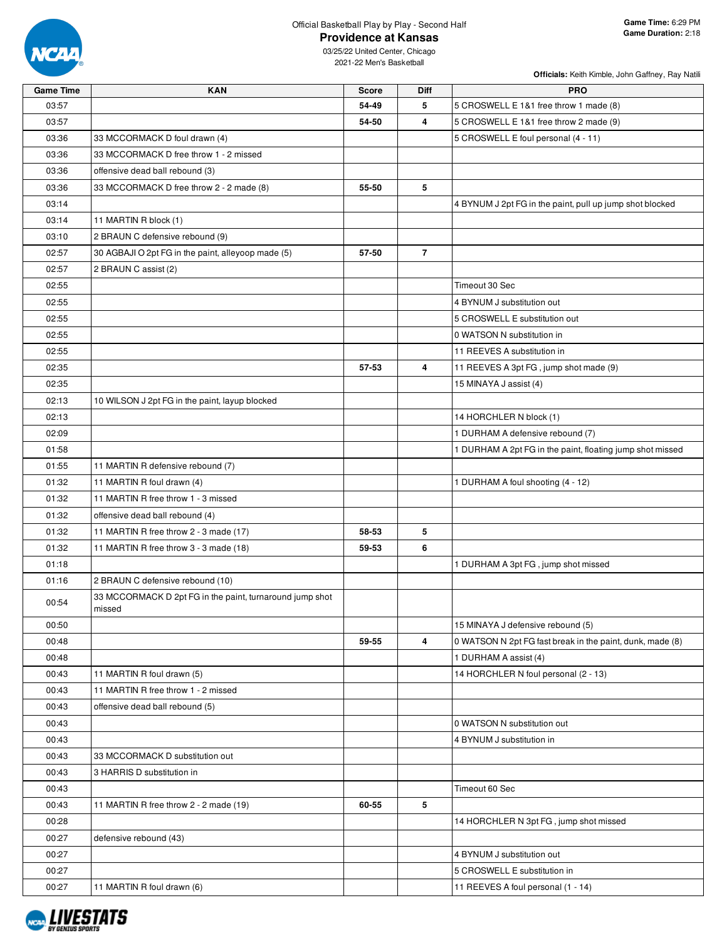

**Officials:** Keith Kimble, John Gaffney, Ray Natili

03/25/22 United Center, Chicago 2021-22 Men's Basketball

**Game Time KAN Score Diff PRO**

| 03:57 |                                                                    | 54-49 | 5              | 5 CROSWELL E 1&1 free throw 1 made (8)                    |
|-------|--------------------------------------------------------------------|-------|----------------|-----------------------------------------------------------|
| 03:57 |                                                                    | 54-50 | 4              | 5 CROSWELL E 1&1 free throw 2 made (9)                    |
| 03:36 | 33 MCCORMACK D foul drawn (4)                                      |       |                | 5 CROSWELL E foul personal (4 - 11)                       |
| 03:36 | 33 MCCORMACK D free throw 1 - 2 missed                             |       |                |                                                           |
| 03:36 | offensive dead ball rebound (3)                                    |       |                |                                                           |
| 03:36 | 33 MCCORMACK D free throw 2 - 2 made (8)                           | 55-50 | 5              |                                                           |
| 03:14 |                                                                    |       |                | 4 BYNUM J 2pt FG in the paint, pull up jump shot blocked  |
| 03:14 | 11 MARTIN R block (1)                                              |       |                |                                                           |
| 03:10 | 2 BRAUN C defensive rebound (9)                                    |       |                |                                                           |
| 02:57 | 30 AGBAJI O 2pt FG in the paint, alleyoop made (5)                 | 57-50 | $\overline{7}$ |                                                           |
| 02:57 | 2 BRAUN C assist (2)                                               |       |                |                                                           |
| 02:55 |                                                                    |       |                | Timeout 30 Sec                                            |
| 02:55 |                                                                    |       |                | 4 BYNUM J substitution out                                |
| 02:55 |                                                                    |       |                | 5 CROSWELL E substitution out                             |
| 02:55 |                                                                    |       |                | 0 WATSON N substitution in                                |
| 02:55 |                                                                    |       |                | 11 REEVES A substitution in                               |
| 02:35 |                                                                    | 57-53 | 4              | 11 REEVES A 3pt FG, jump shot made (9)                    |
| 02:35 |                                                                    |       |                | 15 MINAYA J assist (4)                                    |
| 02:13 | 10 WILSON J 2pt FG in the paint, layup blocked                     |       |                |                                                           |
| 02:13 |                                                                    |       |                | 14 HORCHLER N block (1)                                   |
| 02:09 |                                                                    |       |                | 1 DURHAM A defensive rebound (7)                          |
| 01:58 |                                                                    |       |                | 1 DURHAM A 2pt FG in the paint, floating jump shot missed |
| 01:55 | 11 MARTIN R defensive rebound (7)                                  |       |                |                                                           |
| 01:32 | 11 MARTIN R foul drawn (4)                                         |       |                | 1 DURHAM A foul shooting (4 - 12)                         |
| 01:32 | 11 MARTIN R free throw 1 - 3 missed                                |       |                |                                                           |
| 01:32 | offensive dead ball rebound (4)                                    |       |                |                                                           |
| 01:32 | 11 MARTIN R free throw 2 - 3 made (17)                             | 58-53 | 5              |                                                           |
| 01:32 | 11 MARTIN R free throw 3 - 3 made (18)                             | 59-53 | 6              |                                                           |
| 01:18 |                                                                    |       |                | 1 DURHAM A 3pt FG, jump shot missed                       |
| 01:16 | 2 BRAUN C defensive rebound (10)                                   |       |                |                                                           |
| 00:54 | 33 MCCORMACK D 2pt FG in the paint, turnaround jump shot<br>missed |       |                |                                                           |
| 00:50 |                                                                    |       |                | 15 MINAYA J defensive rebound (5)                         |
| 00:48 |                                                                    | 59-55 | 4              | 0 WATSON N 2pt FG fast break in the paint, dunk, made (8) |
| 00:48 |                                                                    |       |                | 1 DURHAM A assist (4)                                     |
| 00:43 | 11 MARTIN R foul drawn (5)                                         |       |                | 14 HORCHLER N foul personal (2 - 13)                      |
| 00:43 | 11 MARTIN R free throw 1 - 2 missed                                |       |                |                                                           |
| 00:43 | offensive dead ball rebound (5)                                    |       |                |                                                           |
| 00:43 |                                                                    |       |                | 0 WATSON N substitution out                               |
| 00:43 |                                                                    |       |                | 4 BYNUM J substitution in                                 |
| 00:43 | 33 MCCORMACK D substitution out                                    |       |                |                                                           |
| 00:43 | 3 HARRIS D substitution in                                         |       |                |                                                           |
| 00:43 |                                                                    |       |                | Timeout 60 Sec                                            |
| 00:43 | 11 MARTIN R free throw 2 - 2 made (19)                             | 60-55 | 5              |                                                           |
| 00:28 |                                                                    |       |                | 14 HORCHLER N 3pt FG, jump shot missed                    |
| 00:27 | defensive rebound (43)                                             |       |                |                                                           |
| 00:27 |                                                                    |       |                | 4 BYNUM J substitution out                                |
| 00:27 |                                                                    |       |                | 5 CROSWELL E substitution in                              |
| 00:27 | 11 MARTIN R foul drawn (6)                                         |       |                | 11 REEVES A foul personal (1 - 14)                        |

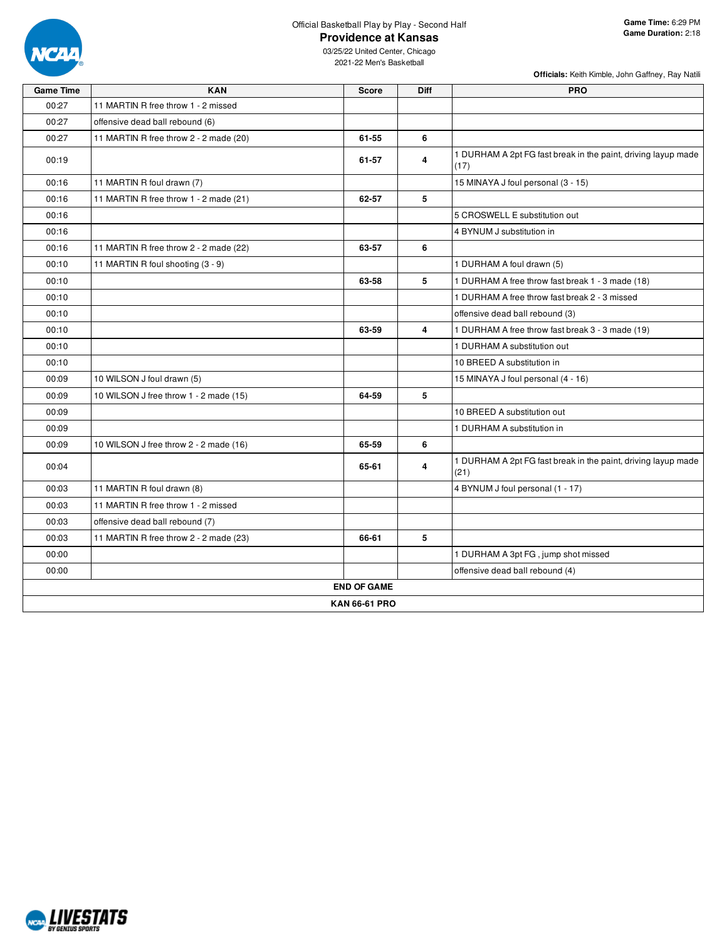

**Officials:** Keith Kimble, John Gaffney, Ray Natili

**Providence at Kansas** 03/25/22 United Center, Chicago

2021-22 Men's Basketball

| <b>Game Time</b> | <b>KAN</b>                             | <b>Score</b>         | Diff                    | <b>PRO</b>                                                            |
|------------------|----------------------------------------|----------------------|-------------------------|-----------------------------------------------------------------------|
| 00:27            | 11 MARTIN R free throw 1 - 2 missed    |                      |                         |                                                                       |
| 00:27            | offensive dead ball rebound (6)        |                      |                         |                                                                       |
| 00:27            | 11 MARTIN R free throw 2 - 2 made (20) | $61 - 55$            | 6                       |                                                                       |
| 00:19            |                                        | 61-57                | 4                       | 1 DURHAM A 2pt FG fast break in the paint, driving layup made<br>(17) |
| 00:16            | 11 MARTIN R foul drawn (7)             |                      |                         | 15 MINAYA J foul personal (3 - 15)                                    |
| 00:16            | 11 MARTIN R free throw 1 - 2 made (21) | 62-57                | 5                       |                                                                       |
| 00:16            |                                        |                      |                         | 5 CROSWELL E substitution out                                         |
| 00:16            |                                        |                      |                         | 4 BYNUM J substitution in                                             |
| 00:16            | 11 MARTIN R free throw 2 - 2 made (22) | 63-57                | 6                       |                                                                       |
| 00:10            | 11 MARTIN R foul shooting (3 - 9)      |                      |                         | 1 DURHAM A foul drawn (5)                                             |
| 00:10            |                                        | 63-58                | 5                       | 1 DURHAM A free throw fast break 1 - 3 made (18)                      |
| 00:10            |                                        |                      |                         | 1 DURHAM A free throw fast break 2 - 3 missed                         |
| 00:10            |                                        |                      |                         | offensive dead ball rebound (3)                                       |
| 00:10            |                                        | 63-59                | $\overline{\mathbf{4}}$ | 1 DURHAM A free throw fast break 3 - 3 made (19)                      |
| 00:10            |                                        |                      |                         | 1 DURHAM A substitution out                                           |
| 00:10            |                                        |                      |                         | 10 BREED A substitution in                                            |
| 00:09            | 10 WILSON J foul drawn (5)             |                      |                         | 15 MINAYA J foul personal (4 - 16)                                    |
| 00:09            | 10 WILSON J free throw 1 - 2 made (15) | 64-59                | 5                       |                                                                       |
| 00:09            |                                        |                      |                         | 10 BREED A substitution out                                           |
| 00:09            |                                        |                      |                         | 1 DURHAM A substitution in                                            |
| 00:09            | 10 WILSON J free throw 2 - 2 made (16) | 65-59                | 6                       |                                                                       |
| 00:04            |                                        | 65-61                | 4                       | 1 DURHAM A 2pt FG fast break in the paint, driving layup made<br>(21) |
| 00:03            | 11 MARTIN R foul drawn (8)             |                      |                         | 4 BYNUM J foul personal (1 - 17)                                      |
| 00:03            | 11 MARTIN R free throw 1 - 2 missed    |                      |                         |                                                                       |
| 00:03            | offensive dead ball rebound (7)        |                      |                         |                                                                       |
| 00:03            | 11 MARTIN R free throw 2 - 2 made (23) | 66-61                | 5                       |                                                                       |
| 00:00            |                                        |                      |                         | 1 DURHAM A 3pt FG, jump shot missed                                   |
| 00:00            |                                        |                      |                         | offensive dead ball rebound (4)                                       |
|                  |                                        | <b>END OF GAME</b>   |                         |                                                                       |
|                  |                                        | <b>KAN 66-61 PRO</b> |                         |                                                                       |

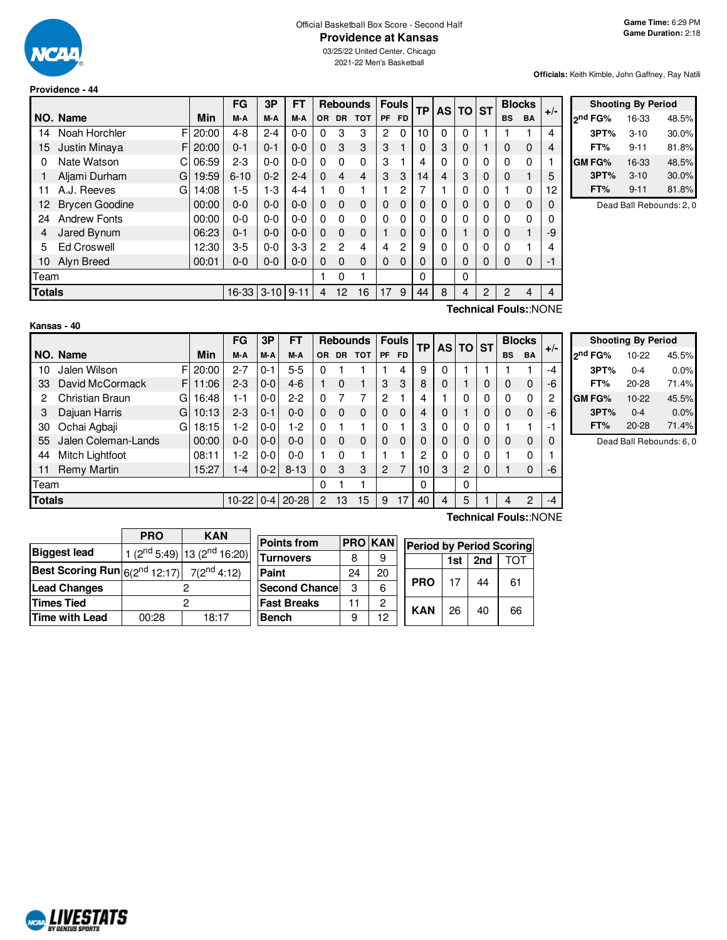

#### Official Basketball Box Score - Second Half **Providence at Kansas** 03/25/22 United Center, Chicago

2021-22 Men's Basketball

#### **Providence - 44**

**Officials:** Keith Kimble, John Gaffney, Ray Natili

|               |                       |            | FG       | 3P       | FT       |              |           | <b>Rebounds</b> |              | <b>Fouls</b>   | <b>TP</b>    |          | AS TO ST     |   | <b>Blocks</b>           |           | $+/-$ |
|---------------|-----------------------|------------|----------|----------|----------|--------------|-----------|-----------------|--------------|----------------|--------------|----------|--------------|---|-------------------------|-----------|-------|
|               | NO. Name              | <b>Min</b> | M-A      | M-A      | M-A      | OR.          | <b>DR</b> | <b>TOT</b>      | <b>PF</b>    | F <sub>D</sub> |              |          |              |   | <b>BS</b>               | <b>BA</b> |       |
| 14            | F<br>Noah Horchler    | 20:00      | $4 - 8$  | $2 - 4$  | $0-0$    | 0            | 3         | 3               | 2            | 0              | 10           | 0        | 0            |   |                         |           | 4     |
| 15            | F<br>Justin Minaya    | 20:00      | $0 - 1$  | $0 - 1$  | $0 - 0$  | $\Omega$     | 3         | 3               | 3            |                | $\Omega$     | 3        | $\mathbf 0$  |   | 0                       | 0         | 4     |
| $\Omega$      | Nate Watson<br>C.     | 06:59      | $2 - 3$  | $0 - 0$  | $0 - 0$  | $\Omega$     | 0         | 0               | 3            |                | 4            | $\Omega$ | 0            | 0 | 0                       | 0         |       |
|               | Aljami Durham<br>GI   | 19:59      | $6 - 10$ | $0 - 2$  | $2 - 4$  | $\Omega$     | 4         | 4               | 3            | 3              | 14           | 4        | 3            | 0 | 0                       |           | 5     |
| 11            | A.J. Reeves<br>G      | 14:08      | $1-5$    | 1-3      | $4 - 4$  |              | $\Omega$  | 1               |              | 2              | 7            |          | 0            | 0 | 1                       | 0         | 12    |
| 12            | <b>Brycen Goodine</b> | 00:00      | $0 - 0$  | $0 - 0$  | $0 - 0$  | $\Omega$     | $\Omega$  | 0               | $\mathbf{0}$ | $\mathbf 0$    | $\mathbf{0}$ | $\Omega$ | $\mathbf 0$  | 0 | 0                       | 0         | 0     |
| 24            | <b>Andrew Fonts</b>   | 00:00      | $0 - 0$  | $0-0$    | $0 - 0$  | $\Omega$     | 0         | 0               | $\Omega$     | 0              | $\Omega$     | $\Omega$ | 0            | 0 | 0                       | 0         | 0     |
| 4             | Jared Bynum           | 06:23      | $0 - 1$  | $0 - 0$  | $0 - 0$  | $\Omega$     | $\Omega$  | 0               |              | 0              | $\Omega$     | $\Omega$ |              | 0 | 0                       |           | -9    |
| 5             | <b>Ed Croswell</b>    | 12:30      | $3-5$    | $0-0$    | $3-3$    | $\mathbf{2}$ | 2         | 4               | 4            | 2              | 9            | $\Omega$ | $\mathbf{0}$ | 0 | 0                       |           | 4     |
| 10            | Alyn Breed            | 00:01      | $0 - 0$  | $0 - 0$  | $0 - 0$  | 0            | $\Omega$  | 0               | 0            | 0              | 0            | $\Omega$ | 0            | 0 | 0                       | 0         | -1    |
| Team          |                       |            |          |          |          |              | 0         |                 |              |                | 0            |          | 0            |   |                         |           |       |
| <b>Totals</b> |                       |            | 16-33    | $3 - 10$ | $9 - 11$ | 4            | 12        | 16              | 17           | 9              | 44           | 8        | 4            | 2 | 2                       | 4         | 4     |
|               |                       |            |          |          |          |              |           |                 |              |                |              |          |              |   | エンストルじょうし ロッシリスト トロヘトリロ |           |       |

|               | <b>Shooting By Period</b> |       |  |  |  |  |  |  |  |  |  |  |
|---------------|---------------------------|-------|--|--|--|--|--|--|--|--|--|--|
| ond FG%       | 16-33                     | 48.5% |  |  |  |  |  |  |  |  |  |  |
| 3PT%          | $3 - 10$                  | 30.0% |  |  |  |  |  |  |  |  |  |  |
| FT%           | $9 - 11$                  | 81.8% |  |  |  |  |  |  |  |  |  |  |
| <b>GM FG%</b> | 16-33                     | 48.5% |  |  |  |  |  |  |  |  |  |  |
| 3PT%          | $3 - 10$                  | 30.0% |  |  |  |  |  |  |  |  |  |  |
| FT%           | $9 - 11$                  | 81.8% |  |  |  |  |  |  |  |  |  |  |

Dead Ball Rebounds: 2, 0

| Kansas - | 40 |
|----------|----|
|          |    |

**Technical Fouls:**:NONE

|               |                      |       | FG            | 3P      | <b>FT</b> |     |           | <b>Rebounds</b> |                | <b>Fouls</b> | ТP              | AS | <b>TO</b> | <b>ST</b> | <b>Blocks</b> |                       |       |
|---------------|----------------------|-------|---------------|---------|-----------|-----|-----------|-----------------|----------------|--------------|-----------------|----|-----------|-----------|---------------|-----------------------|-------|
|               | NO. Name             | Min   | M-A           | M-A     | M-A       | OR. | <b>DR</b> | <b>TOT</b>      | <b>PF</b>      | <b>FD</b>    |                 |    |           |           | <b>BS</b>     | BA                    | $+/-$ |
| 10            | Jalen Wilson<br>FI   | 20:00 | $2 - 7$       | $0 - 1$ | $5 - 5$   | 0   |           |                 |                | 4            | 9               | 0  |           |           |               |                       | -4    |
| 33            | David McCormack<br>F | 11:06 | $2 - 3$       | $0 - 0$ | $4-6$     |     | $\Omega$  |                 | 3              | 3            | 8               | 0  |           | 0         | 0             | $\mathbf 0$           | -6    |
| 2             | Christian Braun<br>G | 16:48 | 1-1           | $0 - 0$ | $2-2$     | 0   | 7         | 7               | 2              |              | 4               |    | 0         | 0         | 0             | 0                     | 2     |
| 3             | Dajuan Harris<br>G   | 10:13 | $2 - 3$       | $0 - 1$ | $0 - 0$   | 0   | $\Omega$  | $\Omega$        | 0              | $\Omega$     | 4               | 0  |           | 0         | 0             | $\mathbf 0$           | -6    |
| 30            | Ochai Agbaji<br>G    | 18:15 | 1-2           | $0-0$   | $1-2$     | 0   |           |                 | 0              |              | 3               | 0  | 0         | 0         |               | 1                     | -1    |
| 55            | Jalen Coleman-Lands  | 00:00 | $0 - 0$       | $0 - 0$ | $0 - 0$   | 0   | $\Omega$  | $\Omega$        | 0              | $\Omega$     | 0               | 0  | 0         | 0         | 0             | $\mathbf 0$           |       |
| 44            | Mitch Lightfoot      | 08:11 | $1-2$         | $0 - 0$ | $0 - 0$   |     | $\Omega$  |                 |                |              | 2               | 0  | 0         | 0         |               | 0                     |       |
| 11            | <b>Remy Martin</b>   | 15:27 | 1-4           | $0 - 2$ | $8 - 13$  | 0   | 3         | 3               | $\overline{2}$ | 7            | 10 <sup>1</sup> | 3  | 2         | 0         |               | 0                     | -6    |
| Team          |                      |       |               |         |           | 0   |           |                 |                |              | 0               |    | 0         |           |               |                       |       |
| <b>Totals</b> |                      |       | $10-22$ $0-4$ |         | $20 - 28$ | 2   | 13        | 15              | 9              | 17           | 40              | 4  | 5         |           | 4             | $\overline{2}$        | -4    |
|               |                      |       |               |         |           |     |           |                 |                |              |                 |    |           |           |               | Technical Fouls::NONE |       |

| <b>Shooting By Period</b> |           |       |  |  |  |  |  |  |  |  |  |
|---------------------------|-----------|-------|--|--|--|--|--|--|--|--|--|
| 2 <sup>nd</sup> FG%       | 10-22     | 45.5% |  |  |  |  |  |  |  |  |  |
| 3PT%                      | $0 - 4$   | 0.0%  |  |  |  |  |  |  |  |  |  |
| FT%                       | 20-28     | 71.4% |  |  |  |  |  |  |  |  |  |
| GM FG%                    | 10-22     | 45.5% |  |  |  |  |  |  |  |  |  |
| 3PT%                      | $0 - 4$   | 0.0%  |  |  |  |  |  |  |  |  |  |
| FT%                       | $20 - 28$ | 71.4% |  |  |  |  |  |  |  |  |  |

Dead Ball Rebounds: 6, 0

|                                                                   | <b>PRO</b> | <b>KAN</b>                                          |                       |    |               |                                 |     |     |     |
|-------------------------------------------------------------------|------------|-----------------------------------------------------|-----------------------|----|---------------|---------------------------------|-----|-----|-----|
|                                                                   |            |                                                     | <b>Points from</b>    |    | <b>PROKAN</b> | <b>Period by Period Scoring</b> |     |     |     |
| <b>Biggest lead</b>                                               |            | 1 (2 <sup>nd</sup> 5:49) 13 (2 <sup>nd</sup> 16:20) |                       |    |               |                                 |     |     |     |
|                                                                   |            |                                                     | <b>Turnovers</b>      | 8  | 9             |                                 | 1st | 2nd | וסד |
| <b>Best Scoring Run</b> $6(2^{nd} 12:17)$ 7(2 <sup>nd</sup> 4:12) |            |                                                     | Paint                 | 24 | 20            |                                 |     |     |     |
| Lead Changes                                                      |            |                                                     | <b>Second Chancel</b> | 3  | 6             | <b>PRO</b>                      |     | 44  | 61  |
| <b>Times Tied</b>                                                 |            |                                                     | <b>Fast Breaks</b>    | 11 | 2             | <b>KAN</b>                      | 26  | 40  | 66  |
| Time with Lead                                                    | 00:28      | 18:17                                               | Bench                 | 9  | 12            |                                 |     |     |     |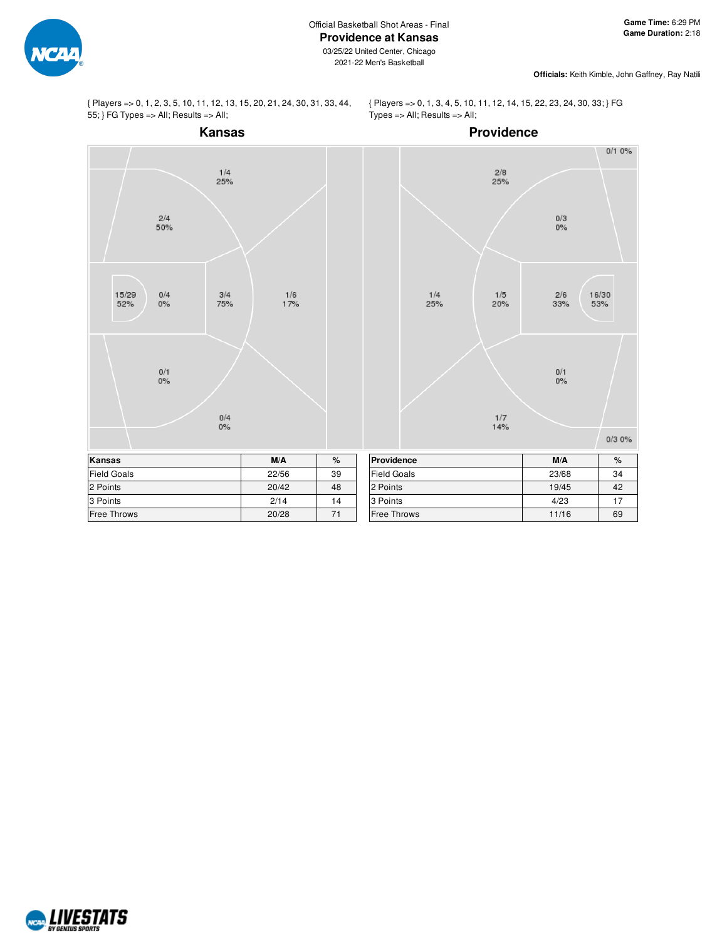

{ Players => 0, 1, 2, 3, 5, 10, 11, 12, 13, 15, 20, 21, 24, 30, 31, 33, 44, 55; } FG Types => All; Results => All;

{ Players => 0, 1, 3, 4, 5, 10, 11, 12, 14, 15, 22, 23, 24, 30, 33; } FG Types => All; Results => All;



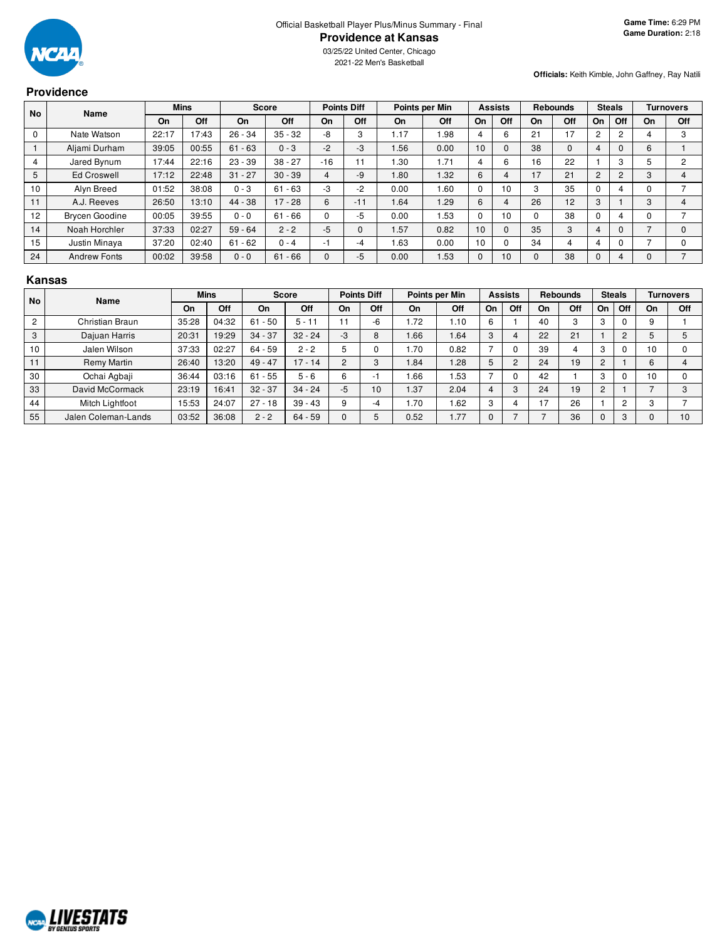

2021-22 Men's Basketball

#### **Providence**

**Officials:** Keith Kimble, John Gaffney, Ray Natili

|                      | .                     |       |             |           |              |                    |       |                |      |                |                |                 |              |               |     |    |                  |
|----------------------|-----------------------|-------|-------------|-----------|--------------|--------------------|-------|----------------|------|----------------|----------------|-----------------|--------------|---------------|-----|----|------------------|
| <b>No</b>            | Name                  |       | <b>Mins</b> |           | <b>Score</b> | <b>Points Diff</b> |       | Points per Min |      | <b>Assists</b> |                | <b>Rebounds</b> |              | <b>Steals</b> |     |    | <b>Turnovers</b> |
|                      |                       | On    | Off         | <b>On</b> | Off          | On                 | Off   | <b>On</b>      | Off  | On             | Off            | On              | Off          | On            | Off | On | Off              |
|                      | Nate Watson           | 22:17 | 17:43       | $26 - 34$ | $35 - 32$    | -8                 | 3     | 1.17           | 1.98 | 4              | 6              | 21              | 17           | 2             |     |    | 3                |
|                      | Aljami Durham         | 39:05 | 00:55       | $61 - 63$ | $0 - 3$      | $-2$               | $-3$  | 1.56           | 0.00 | 10             | $\mathbf{0}$   | 38              | $\mathbf{0}$ | 4             |     | 6  |                  |
|                      | Jared Bynum           | 17:44 | 22:16       | $23 - 39$ | $38 - 27$    | $-16$              | 11    | 1.30           | 1.71 | 4              | 6              | 16              | 22           |               |     | 5  | 2                |
| 5                    | <b>Ed Croswell</b>    | 17:12 | 22:48       | $31 - 27$ | $30 - 39$    | 4                  | $-9$  | 1.80           | 1.32 | 6              | 4              | 17              | 21           | 2             |     | 3  |                  |
| 10                   | Alyn Breed            | 01:52 | 38:08       | $0 - 3$   | $61 - 63$    | $-3$               | -2    | 0.00           | 1.60 | $\mathbf 0$    | 10             | 3               | 35           |               |     | 0  |                  |
| $-1$<br>$\mathbf{1}$ | A.J. Reeves           | 26:50 | 13:10       | $44 - 38$ | $17 - 28$    | 6                  | $-11$ | 1.64           | 1.29 | 6              | $\overline{4}$ | 26              | 12           | 3             |     | 3  |                  |
| 12                   | <b>Brycen Goodine</b> | 00:05 | 39:55       | $0 - 0$   | $61 - 66$    | $\Omega$           | -5    | 0.00           | 1.53 | $\mathbf 0$    | 10             | $\Omega$        | 38           | $\Omega$      |     | 0  |                  |
| 14                   | Noah Horchler         | 37:33 | 02:27       | $59 - 64$ | $2 - 2$      | $-5$               | 0     | 1.57           | 0.82 | 10             | $\Omega$       | 35              | 3            | 4             |     |    | $\Omega$         |
| 15                   | Justin Minaya         | 37:20 | 02:40       | $61 - 62$ | $0 - 4$      | -1                 | -4    | 1.63           | 0.00 | 10             | $\Omega$       | 34              | 4            | 4             |     |    |                  |
| 24                   | <b>Andrew Fonts</b>   | 00:02 | 39:58       | $0 - 0$   | $61 - 66$    | $\Omega$           | $-5$  | 0.00           | 1.53 | $\mathbf{0}$   | 10             | 0               | 38           | $\Omega$      |     | 0  |                  |
|                      |                       |       |             |           |              |                    |       |                |      |                |                |                 |              |               |     |    |                  |

#### **Kansas**

| <b>No</b>      | Name                |       | <b>Mins</b> | Score     |           |      | <b>Points Diff</b>       |      | Points per Min |    | <b>Assists</b> |    | <b>Rebounds</b> | <b>Steals</b> |                |    | Turnovers |
|----------------|---------------------|-------|-------------|-----------|-----------|------|--------------------------|------|----------------|----|----------------|----|-----------------|---------------|----------------|----|-----------|
|                |                     | On    | Off         | On        | Off       | On   | Off                      | On   | Off            | On | Off            | On | Off             | On            | Off            | On | Off       |
| $\overline{c}$ | Christian Braun     | 35:28 | 04:32       | $61 - 50$ | $5 - 11$  |      | -6                       | 1.72 | 1.10           | 6  |                | 40 | 3               | 3             | 0              | 9  |           |
| 3              | Dajuan Harris       | 20:31 | 19:29       | $34 - 37$ | $32 - 24$ | -3   | 8                        | .66  | 1.64           | 3  |                | 22 | 21              |               | $\overline{2}$ |    |           |
| 10             | Jalen Wilson        | 37:33 | 02:27       | $64 - 59$ | $2 - 2$   | b    |                          | 1.70 | 0.82           |    |                | 39 |                 | 3             |                | 10 |           |
| 11             | Remy Martin         | 26:40 | 13:20       | $49 - 47$ | $17 - 14$ | 2    | 3                        | .84  | 1.28           |    | $\overline{2}$ | 24 | 19              |               |                | 6  |           |
| 30             | Ochai Agbaji        | 36:44 | 03:16       | $61 - 55$ | $5 - 6$   | 6    | $\overline{\phantom{0}}$ | .66  | 1.53           |    |                | 42 |                 | 3             | $\Omega$       | 10 |           |
| 33             | David McCormack     | 23:19 | 16:41       | $32 - 37$ | $34 - 24$ | $-5$ | 10                       | 1.37 | 2.04           |    | 3              | 24 | 19              |               |                |    | 3         |
| 44             | Mitch Lightfoot     | 15:53 | 24:07       | $27 - 18$ | $39 - 43$ | 9    |                          | 1.70 | 1.62           | 3  |                |    | 26              |               | $\overline{2}$ | 3  |           |
| 55             | Jalen Coleman-Lands | 03:52 | 36:08       | $2 - 2$   | $64 - 59$ |      |                          | 0.52 | 1.77           |    |                |    | 36              |               | 3              |    | 10        |

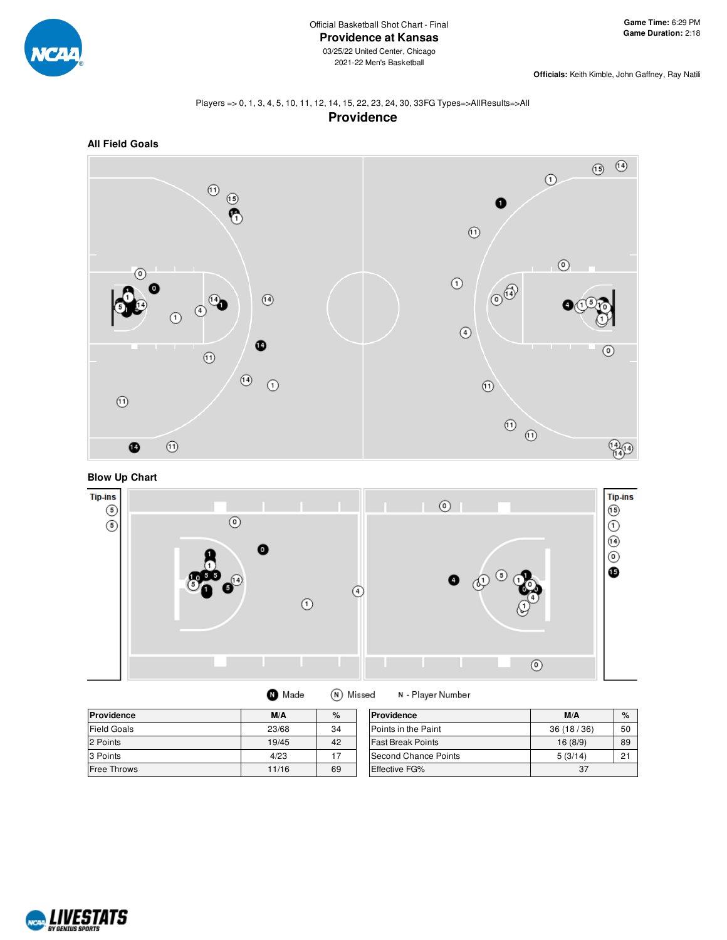

**Officials:** Keith Kimble, John Gaffney, Ray Natili

## Players => 0, 1, 3, 4, 5, 10, 11, 12, 14, 15, 22, 23, 24, 30, 33FG Types=>AllResults=>All **Providence**



# **Blow Up Chart**



| Providence         | M/A   | %  | <b>Providence</b>        | M/A       | $\%$ |
|--------------------|-------|----|--------------------------|-----------|------|
| <b>Field Goals</b> | 23/68 | 34 | Points in the Paint      | 36(18/36) | 50   |
| 2 Points           | 19/45 | 42 | <b>Fast Break Points</b> | 16(8/9)   | 89   |
| 3 Points           | 4/23  | 17 | Second Chance Points     | 5(3/14)   | 21   |
| <b>Free Throws</b> | 11/16 | 69 | <b>Effective FG%</b>     | 37        |      |

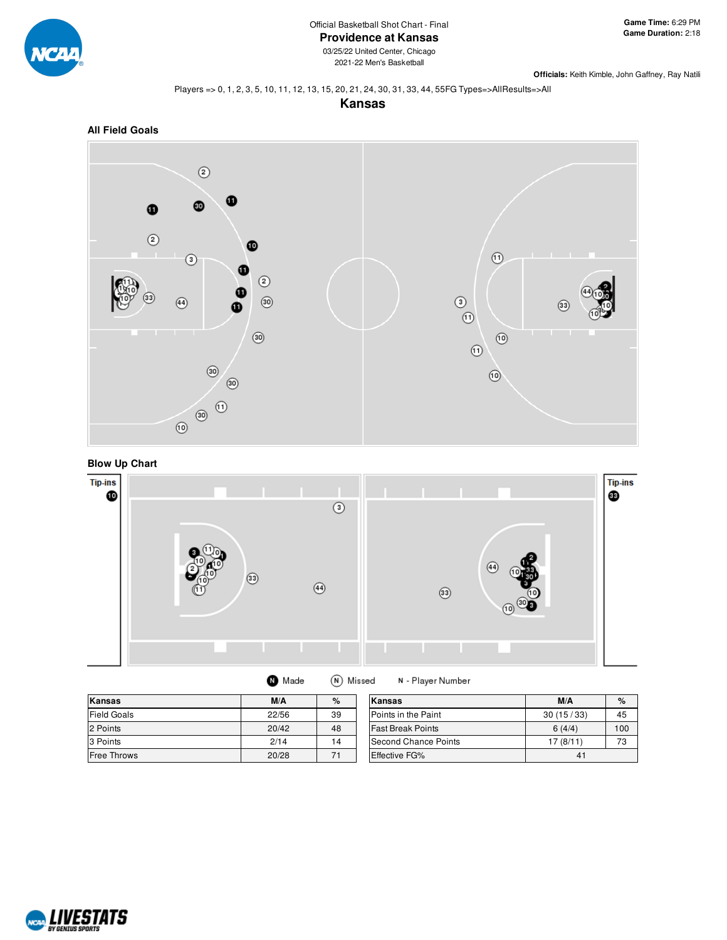

**Officials:** Keith Kimble, John Gaffney, Ray Natili

#### Players => 0, 1, 2, 3, 5, 10, 11, 12, 13, 15, 20, 21, 24, 30, 31, 33, 44, 55FG Types=>AllResults=>All









| J Made | (N) Missed | N - Playe |
|--------|------------|-----------|
|--------|------------|-----------|

| Kansas             | M/A   | %  | Kansas                   | M/A       | $\%$ |
|--------------------|-------|----|--------------------------|-----------|------|
| <b>Field Goals</b> | 22/56 | 39 | Points in the Paint      | 30(15/33) | 45   |
| 2 Points           | 20/42 | 48 | <b>Fast Break Points</b> | 6(4/4)    | 100  |
| 3 Points           | 2/14  | 14 | Second Chance Points     | 17(8/11)  | 73   |
| Free Throws        | 20/28 |    | <b>Effective FG%</b>     | 41        |      |

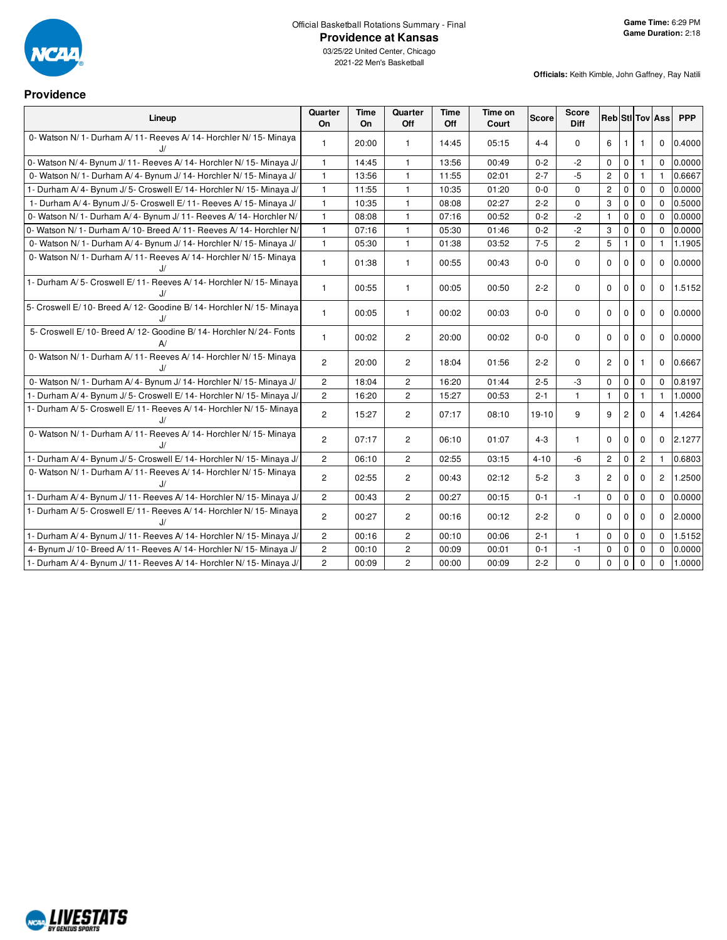

2021-22 Men's Basketball

#### **Providence**

|                                                                              | Quarter               | <b>Time</b> | Quarter               | <b>Time</b> | Time on |              | <b>Score</b>   |                |                |                |                        |            |
|------------------------------------------------------------------------------|-----------------------|-------------|-----------------------|-------------|---------|--------------|----------------|----------------|----------------|----------------|------------------------|------------|
| Lineup                                                                       | On                    | <b>On</b>   | Off                   | Off         | Court   | <b>Score</b> | Diff           |                |                |                | <b>Reb</b> Sti Tov Ass | <b>PPP</b> |
| 0- Watson N/1- Durham A/11- Reeves A/14- Horchler N/15- Minaya<br>J/         | $\mathbf{1}$          | 20:00       | $\mathbf{1}$          | 14:45       | 05:15   | $4 - 4$      | $\mathbf 0$    | 6              | $\mathbf{1}$   | 1              | $\mathbf 0$            | 0.4000     |
| 0- Watson N/4- Bynum J/11- Reeves A/14- Horchler N/15- Minaya J/             | $\mathbf{1}$          | 14:45       | $\mathbf{1}$          | 13:56       | 00:49   | $0 - 2$      | $-2$           | $\mathbf 0$    | $\mathbf 0$    | 1              | $\Omega$               | 0.0000     |
| 0- Watson N/1- Durham A/4- Bynum J/14- Horchler N/15- Minaya J/              | $\mathbf{1}$          | 13:56       | $\mathbf{1}$          | 11:55       | 02:01   | $2 - 7$      | $-5$           | $\overline{c}$ | $\mathbf 0$    | $\mathbf{1}$   |                        | 0.6667     |
| 1- Durham A/4- Bynum J/5- Croswell E/14- Horchler N/15- Minaya J/            | $\mathbf{1}$          | 11:55       | $\mathbf{1}$          | 10:35       | 01:20   | $0-0$        | $\mathbf 0$    | $\mathbf{2}$   | $\mathbf 0$    | $\mathbf 0$    | $\Omega$               | 0.0000     |
| 1- Durham A/4- Bynum J/5- Croswell E/11- Reeves A/15- Minaya J/              | $\mathbf{1}$          | 10:35       | $\mathbf{1}$          | 08:08       | 02:27   | $2 - 2$      | 0              | 3              | $\mathbf 0$    | 0              | $\Omega$               | 0.5000     |
| 0- Watson N/1- Durham A/4- Bynum J/11- Reeves A/14- Horchler N/              | $\mathbf{1}$          | 08:08       | $\mathbf{1}$          | 07:16       | 00:52   | $0 - 2$      | $-2$           | $\mathbf{1}$   | $\mathbf 0$    | $\mathbf 0$    | $\Omega$               | 0.0000     |
| 0- Watson N/1- Durham A/10- Breed A/11- Reeves A/14- Horchler N/             | $\mathbf{1}$          | 07:16       | $\mathbf{1}$          | 05:30       | 01:46   | $0 - 2$      | $-2$           | 3              | $\mathbf 0$    | $\mathbf 0$    | $\mathbf 0$            | 0.0000     |
| 0- Watson N/1- Durham A/4- Bynum J/14- Horchler N/15- Minaya J/              | $\mathbf{1}$          | 05:30       | $\mathbf{1}$          | 01:38       | 03:52   | $7-5$        | $\overline{2}$ | 5              | $\mathbf{1}$   | 0              | $\mathbf{1}$           | 1.1905     |
| 0- Watson N/1- Durham A/11- Reeves A/14- Horchler N/15- Minaya               | $\mathbf{1}$          | 01:38       | $\mathbf{1}$          | 00:55       | 00:43   | $0-0$        | $\mathbf 0$    | $\Omega$       | $\mathbf 0$    | $\Omega$       | $\Omega$               | 0.0000     |
| 1- Durham A/5- Croswell E/11- Reeves A/14- Horchler N/15- Minaya<br>IJ       | $\mathbf{1}$          | 00:55       | $\mathbf{1}$          | 00:05       | 00:50   | $2 - 2$      | $\mathbf 0$    | $\Omega$       | $\mathbf 0$    | $\mathbf 0$    | $\Omega$               | 1.5152     |
| 5- Croswell E/10- Breed A/12- Goodine B/14- Horchler N/15- Minaya<br>J/      | $\mathbf{1}$          | 00:05       | $\mathbf{1}$          | 00:02       | 00:03   | $0 - 0$      | $\mathbf 0$    | $\Omega$       | $\mathbf 0$    | $\Omega$       | $\mathbf 0$            | 0.0000     |
| 5- Croswell E/ 10- Breed A/ 12- Goodine B/ 14- Horchler N/ 24- Fonts<br>A/   | $\mathbf{1}$          | 00:02       | $\overline{c}$        | 20:00       | 00:02   | $0 - 0$      | $\Omega$       | $\Omega$       | $\mathbf 0$    | $\Omega$       | $\Omega$               | 0.0000     |
| 0- Watson N/1- Durham A/11- Reeves A/14- Horchler N/15- Minaya<br>J/         | $\overline{2}$        | 20:00       | $\overline{2}$        | 18:04       | 01:56   | $2 - 2$      | $\Omega$       | $\overline{2}$ | $\mathbf 0$    | $\mathbf{1}$   | $\Omega$               | 0.6667     |
| 0- Watson N/1- Durham A/4- Bynum J/14- Horchler N/15- Minaya J/              | $\overline{2}$        | 18:04       | $\mathbf{2}^{\prime}$ | 16:20       | 01:44   | $2 - 5$      | $-3$           | $\mathbf 0$    | $\mathbf 0$    | 0              | $\mathbf 0$            | 0.8197     |
| 1- Durham A/4- Bynum J/5- Croswell E/14- Horchler N/15- Minaya J/            | $\overline{2}$        | 16:20       | $\overline{c}$        | 15:27       | 00:53   | $2 - 1$      | $\mathbf{1}$   | $\mathbf{1}$   | $\mathbf 0$    | 1              | $\mathbf{1}$           | 1.0000     |
| 1- Durham A/5- Croswell E/11- Reeves A/14- Horchler N/15- Minaya             | $\overline{2}$        | 15:27       | 2                     | 07:17       | 08:10   | $19-10$      | 9              | 9              | $\overline{c}$ | 0              | $\overline{4}$         | 1.4264     |
| 0- Watson N/1- Durham A/11- Reeves A/14- Horchler N/15- Minaya<br>$\cdot$ I/ | $\mathbf{2}$          | 07:17       | $\overline{2}$        | 06:10       | 01:07   | $4 - 3$      | $\mathbf{1}$   | $\mathbf 0$    | $\mathbf 0$    | $\mathbf 0$    | $\mathbf 0$            | 2.1277     |
| 1- Durham A/4- Bynum J/5- Croswell E/14- Horchler N/15- Minaya J/            | $\overline{2}$        | 06:10       | $\overline{2}$        | 02:55       | 03:15   | $4 - 10$     | $-6$           | $\overline{2}$ | $\mathbf 0$    | $\overline{2}$ | $\mathbf{1}$           | 0.6803     |
| 0- Watson N/1- Durham A/11- Reeves A/14- Horchler N/15- Minaya               | $\overline{2}$        | 02:55       | $\overline{c}$        | 00:43       | 02:12   | $5 - 2$      | 3              | $\mathbf{2}$   | $\mathbf{0}$   | $\Omega$       | $\overline{2}$         | 1.2500     |
| 1- Durham A/4- Bynum J/11- Reeves A/14- Horchler N/15- Minaya J/             | $\mathbf{2}^{\prime}$ | 00:43       | $\mathbf{2}^{\prime}$ | 00:27       | 00:15   | $0 - 1$      | $-1$           | $\mathbf 0$    | $\mathsf 0$    | 0              | $\mathbf{0}$           | 0.0000     |
| 1- Durham A/5- Croswell E/11- Reeves A/14- Horchler N/15- Minaya             | $\overline{2}$        | 00:27       | $\overline{2}$        | 00:16       | 00:12   | $2 - 2$      | $\mathbf 0$    | $\mathbf 0$    | $\mathbf{0}$   | $\Omega$       | $\mathbf 0$            | 2.0000     |
| 1- Durham A/4- Bynum J/11- Reeves A/14- Horchler N/15- Minaya J/             | $\mathbf{2}$          | 00:16       | 2                     | 00:10       | 00:06   | $2 - 1$      | $\mathbf{1}$   | $\mathbf 0$    | $\mathbf 0$    | $\mathbf 0$    | $\Omega$               | 1.5152     |
| 4- Bynum J/ 10- Breed A/ 11- Reeves A/ 14- Horchler N/ 15- Minaya J/         | $\mathbf{2}$          | 00:10       | $\overline{c}$        | 00:09       | 00:01   | $0 - 1$      | $-1$           | 0              | $\mathbf 0$    | 0              | $\Omega$               | 0.0000     |
| 1- Durham A/4- Bynum J/11- Reeves A/14- Horchler N/15- Minaya J/             | $\overline{2}$        | 00:09       | $\overline{c}$        | 00:00       | 00:09   | $2 - 2$      | $\Omega$       | $\mathbf 0$    | $\mathbf 0$    | $\mathbf 0$    | $\mathbf 0$            | 1.0000     |

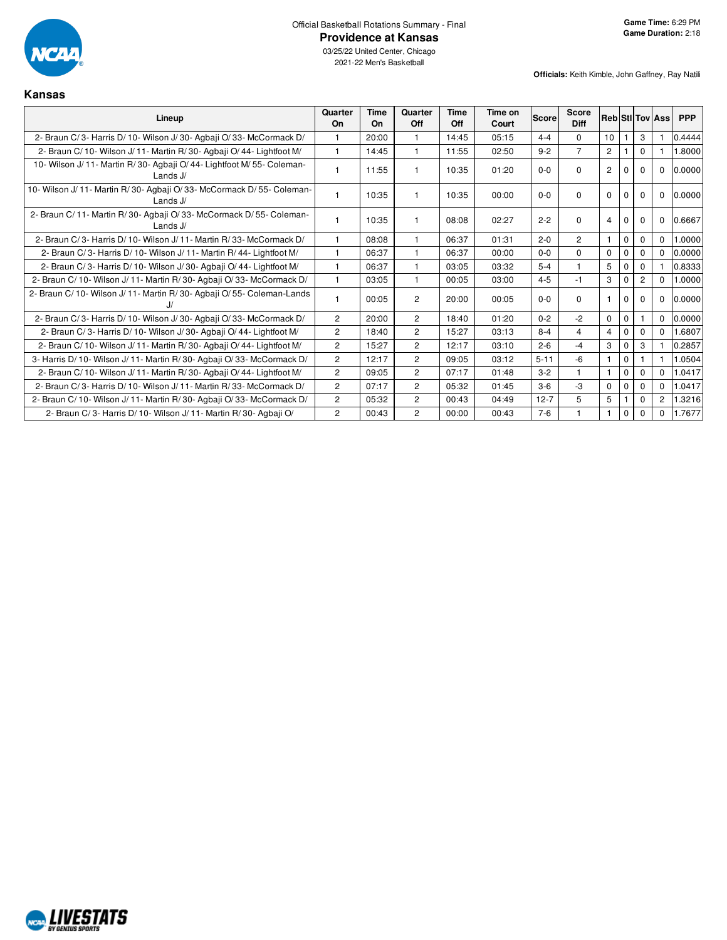

2021-22 Men's Basketball

**Officials:** Keith Kimble, John Gaffney, Ray Natili

#### **Kansas Lineup Quarter On Time On Quarter Off Time Off Time on Court Score Score Diff Reb Stl Tov Ass PPP** 2- Braun C/ 3- Harris D/ 10- Wilson J/ 30- Agbaji O/ 33- McCormack D/ 1 20:00 1 14:45 05:15 4-4 0 10 1 3 1 0.4444 2- Braun C/ 10- Wilson J/ 11- Martin R/ 30- Agbaji O/ 44- Lightfoot M/ 1 14:45 1 11:55 02:50 9-2 7 2 1 0 1 1.8000 10- Wilson J/ 11- Martin R/ 30- Agbaji O/ 44- Lightfoot M/ 55- Coleman-Lands J/ 1 | 11:55 | 1 | 10:35 | 01:20 | 0-0 | 0 | 2 | 0 | 0 | 0 | 0.0000 | 10- Wilson J/ 11- Martin R/ 30- Agbaji O/ 33- McCormack D/ 55- Coleman-Lands J/ 1 | 10:35 | 1 | 10:35 | 00:00 | 0-0 | 0 | 0 | 0 | 0 | 0 | 0.0000 | 2- Braun C/ 11- Martin R/ 30- Agbaji O/ 33- McCormack D/ 55- Coleman-Lands J/ 1 | 10:35 | 1 | 08:08 | 02:27 | 2-2 | 0 | 4 | 0 | 0 | 0 | 0.6667| 2- Braun C/ 3- Harris D/ 10- Wilson J/ 11- Martin R/ 33- McCormack D/ | 1 08:08 | 1 06:37 | 01:31 | 2-0 | 2 | 1 0 | 0 | 0 | 1.0000 2- Braun C/ 3- Harris D/ 10- Wilson J/ 11- Martin R/ 44- Lightfoot M/ 1 06:37 | 1 06:37 | 00:00 000 0-0 0 0 0 0 0 0 0 0 0.0000 2- Braun C/ 3- Harris D/ 10- Wilson J/ 30- Agbaji O/ 44- Lightfoot M/ 1 06:37 1 03:05 03:32 5-4 1 5 0 0 1 0.8333 2- Braun C/ 10- Wilson J/ 11- Martin R/ 30- Agbaji O/ 33- McCormack D/ 1 03:05 1 00:05 03:00 4-5 -1 3 0 2 0 1.0000 2- Braun C/ 10- Wilson J/ 11- Martin R/ 30- Agbaji O/ 55- Coleman-Lands  $J/$ 1 | 00:05 | 2 | 20:00 | 00:05 | 0-0 | 0 | 1 | 0 | 0 | 0 | 0.0000 | 2- Braun C/ 3- Harris D/ 10- Wilson J/ 30- Agbaji O/ 33- McCormack D/ 2 20:00 2 18:40 01:20 0:20 -2 0 0 1 0 1 0 2- Braun C/ 3- Harris D/ 10- Wilson J/ 30- Agbaji O/ 44- Lightfoot M/ 2 18:40 2 15:27 03:13 8-4 4 4 0 0 0 1.6807 2- Braun C/ 10- Wilson J/ 11- Martin R/ 30- Agbaji O/ 44- Lightfoot M/ 2 15:27 2 12:17 03:10 2-6 -4 3 0 3 1 0.2857 3- Harris D/ 10- Wilson J/ 11- Martin R/ 30- Agbaji O/ 33- McCormack D/ 2 12:17 2 09:05 03:12 5-11 -6 1 0 1 1 1.0504 2- Braun C/ 10- Wilson J/ 11- Martin R/ 30- Agbaji O/ 44- Lightfoot M/ 2 09:05 2 07:17 01:48 3-2 1 1 1 0 0 0 1.0417 2- Braun C/ 3- Harris D/ 10- Wilson J/ 11- Martin R/ 33- McCormack D/ 2 07:17 2 05:32 01:45 3-6 -3 0 0 0 0 1.0417 2- Braun C/ 10- Wilson J/ 11- Martin R/ 30- Agbaji O/ 33- McCormack D/ | 2 | 05:32 | 2 | 00:43 | 04:49 | 12-7 5 | 5 | 1 | 0 | 2 | 1.3216 2- Braun C/ 3- Harris D/ 10- Wilson J/ 11- Martin R/ 30- Agbaji O/ | 2 | 00:43 | 2 | 00:00 | 00:43 | 7-6 | 1 | 1 | 0 | 0 | 1.7677

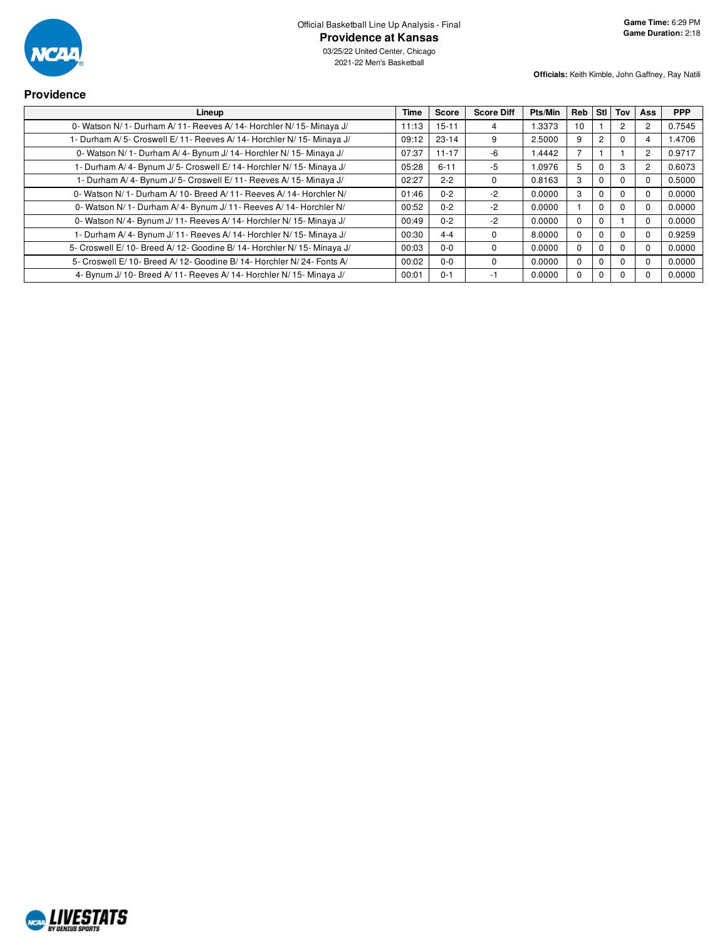

**Officials:** Keith Kimble, John Gaffney, Ray Natili

## **Providence**

| Lineup                                                               | <b>Time</b> | Score     | <b>Score Diff</b> | Pts/Min | <b>Reb</b> | Stl | Tov            | Ass            | <b>PPP</b> |
|----------------------------------------------------------------------|-------------|-----------|-------------------|---------|------------|-----|----------------|----------------|------------|
| 0- Watson N/1- Durham A/11- Reeves A/14- Horchler N/15- Minaya J/    | 11:13       | $15 - 11$ | 4                 | 1.3373  | 10         |     | $\overline{2}$ |                | 0.7545     |
| 1- Durham A/5- Croswell E/11- Reeves A/14- Horchler N/15- Minaya J/  | 09:12       | $23 - 14$ | 9                 | 2.5000  | 9          |     | 0              |                | 1.4706     |
| 0- Watson N/1- Durham A/4- Bynum J/14- Horchler N/15- Minaya J/      | 07:37       | $11 - 17$ | -6                | 1.4442  |            |     |                | $\overline{c}$ | 0.9717     |
| 1- Durham A/4- Bynum J/5- Croswell E/14- Horchler N/15- Minaya J/    | 05:28       | $6 - 11$  | $-5$              | 1.0976  | 5          |     | 3              | $\overline{2}$ | 0.6073     |
| 1- Durham A/4- Bynum J/5- Croswell E/11- Reeves A/15- Minaya J/      | 02:27       | $2 - 2$   | $\Omega$          | 0.8163  | 3          |     | 0              |                | 0.5000     |
| 0- Watson N/1- Durham A/10- Breed A/11- Reeves A/14- Horchler N/     | 01:46       | $0 - 2$   | $-2$              | 0.0000  | 3          |     |                |                | 0.0000     |
| 0- Watson N/1- Durham A/4- Bynum J/11- Reeves A/14- Horchler N/      | 00:52       | $0 - 2$   | $-2$              | 0.0000  |            |     | $\Omega$       |                | 0.0000     |
| 0- Watson N/4- Bynum J/11- Reeves A/14- Horchler N/15- Minaya J/     | 00:49       | $0 - 2$   | $-2$              | 0.0000  | $\Omega$   |     |                |                | 0.0000     |
| 1- Durham A/4- Bynum J/11- Reeves A/14- Horchler N/15- Minaya J/     | 00:30       | $4 - 4$   | $\Omega$          | 8.0000  | $\Omega$   |     | 0              |                | 0.9259     |
| 5- Croswell E/10- Breed A/12- Goodine B/14- Horchler N/15- Minaya J/ | 00:03       | $0 - 0$   | $\Omega$          | 0.0000  | $\Omega$   |     | 0              |                | 0.0000     |
| 5- Croswell E/10- Breed A/12- Goodine B/14- Horchler N/24- Fonts A/  | 00:02       | $0 - 0$   | $\Omega$          | 0.0000  | 0          |     |                |                | 0.0000     |
| 4- Bynum J/ 10- Breed A/ 11- Reeves A/ 14- Horchler N/ 15- Minaya J/ | 00:01       | $0 - 1$   | -1                | 0.0000  | 0          |     |                |                | 0.0000     |